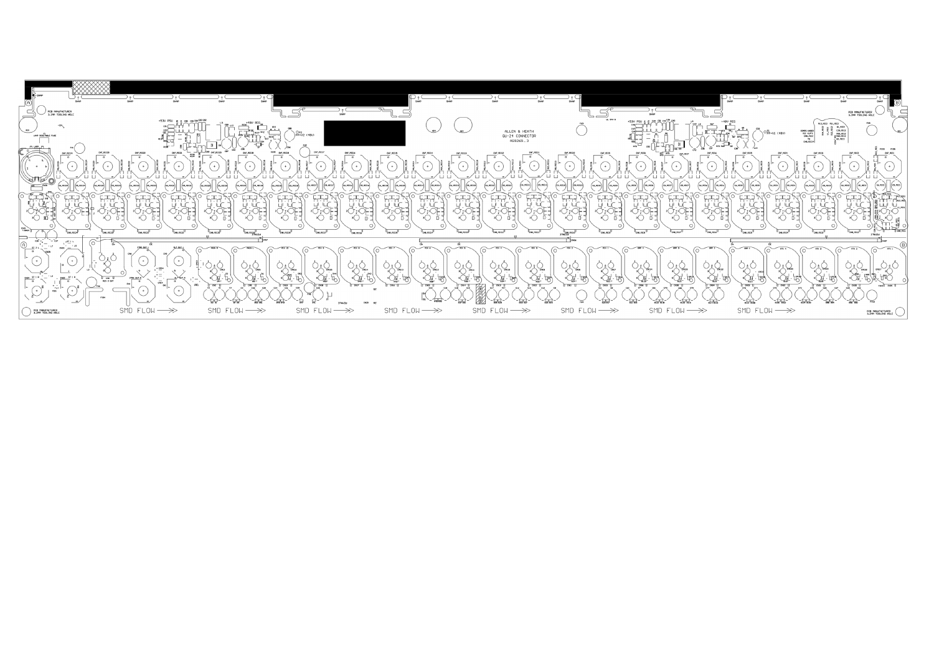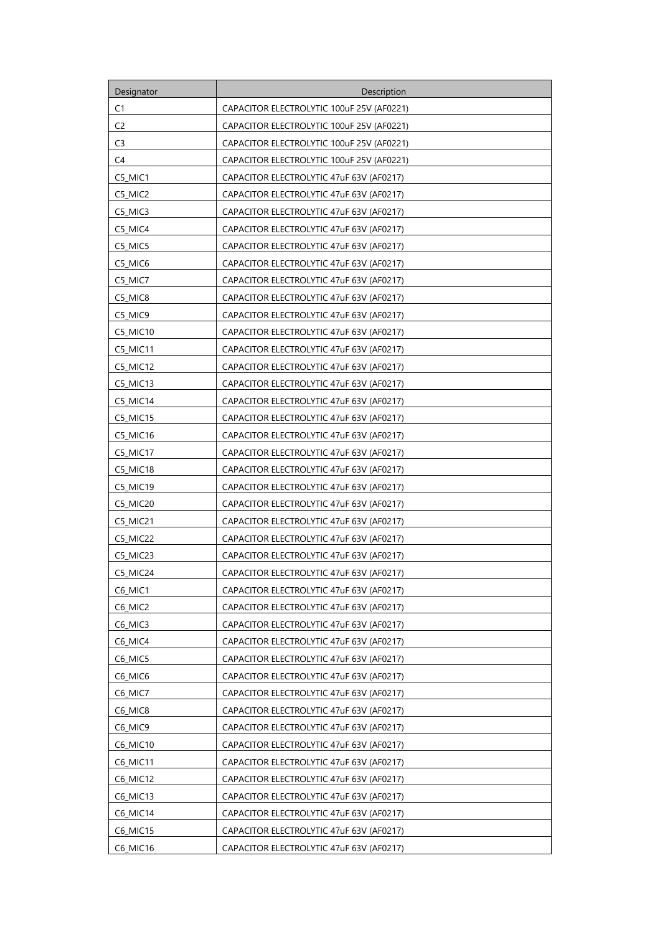| Designator     | Description                               |
|----------------|-------------------------------------------|
| C1             | CAPACITOR ELECTROLYTIC 100uF 25V (AF0221) |
| C <sub>2</sub> | CAPACITOR ELECTROLYTIC 100uF 25V (AF0221) |
| C <sub>3</sub> | CAPACITOR ELECTROLYTIC 100uF 25V (AF0221) |
| C4             | CAPACITOR ELECTROLYTIC 100uF 25V (AF0221) |
| C5 MIC1        | CAPACITOR ELECTROLYTIC 47uF 63V (AF0217)  |
| C5_MIC2        | CAPACITOR ELECTROLYTIC 47uF 63V (AF0217)  |
| C5_MIC3        | CAPACITOR ELECTROLYTIC 47uF 63V (AF0217)  |
| C5_MIC4        | CAPACITOR ELECTROLYTIC 47uF 63V (AF0217)  |
| C5_MIC5        | CAPACITOR ELECTROLYTIC 47uF 63V (AF0217)  |
| C5_MIC6        | CAPACITOR ELECTROLYTIC 47uF 63V (AF0217)  |
| C5_MIC7        | CAPACITOR ELECTROLYTIC 47uF 63V (AF0217)  |
| C5_MIC8        | CAPACITOR ELECTROLYTIC 47uF 63V (AF0217)  |
| C5_MIC9        | CAPACITOR ELECTROLYTIC 47uF 63V (AF0217)  |
| C5_MIC10       | CAPACITOR ELECTROLYTIC 47uF 63V (AF0217)  |
| C5_MIC11       | CAPACITOR ELECTROLYTIC 47uF 63V (AF0217)  |
| C5_MIC12       | CAPACITOR ELECTROLYTIC 47uF 63V (AF0217)  |
| C5_MIC13       | CAPACITOR ELECTROLYTIC 47uF 63V (AF0217)  |
| C5_MIC14       | CAPACITOR ELECTROLYTIC 47uF 63V (AF0217)  |
| C5_MIC15       | CAPACITOR ELECTROLYTIC 47uF 63V (AF0217)  |
| C5_MIC16       | CAPACITOR ELECTROLYTIC 47uF 63V (AF0217)  |
| C5_MIC17       | CAPACITOR ELECTROLYTIC 47uF 63V (AF0217)  |
| C5 MIC18       | CAPACITOR ELECTROLYTIC 47uF 63V (AF0217)  |
| C5_MIC19       | CAPACITOR ELECTROLYTIC 47uF 63V (AF0217)  |
| C5_MIC20       | CAPACITOR ELECTROLYTIC 47uF 63V (AF0217)  |
| C5_MIC21       | CAPACITOR ELECTROLYTIC 47uF 63V (AF0217)  |
| C5_MIC22       | CAPACITOR ELECTROLYTIC 47uF 63V (AF0217)  |
| C5 MIC23       | CAPACITOR ELECTROLYTIC 47uF 63V (AF0217)  |
| C5 MIC24       | CAPACITOR ELECTROLYTIC 47uF 63V (AF0217)  |
| C6_MIC1        | CAPACITOR ELECTROLYTIC 47uF 63V (AF0217)  |
| C6_MIC2        | CAPACITOR ELECTROLYTIC 47uF 63V (AF0217)  |
| C6_MIC3        | CAPACITOR ELECTROLYTIC 47uF 63V (AF0217)  |
| C6_MIC4        | CAPACITOR ELECTROLYTIC 47uF 63V (AF0217)  |
| C6_MIC5        | CAPACITOR ELECTROLYTIC 47uF 63V (AF0217)  |
| C6_MIC6        | CAPACITOR ELECTROLYTIC 47uF 63V (AF0217)  |
| C6_MIC7        | CAPACITOR ELECTROLYTIC 47uF 63V (AF0217)  |
| C6_MIC8        | CAPACITOR ELECTROLYTIC 47uF 63V (AF0217)  |
| C6_MIC9        | CAPACITOR ELECTROLYTIC 47uF 63V (AF0217)  |
| C6_MIC10       | CAPACITOR ELECTROLYTIC 47uF 63V (AF0217)  |
| C6_MIC11       | CAPACITOR ELECTROLYTIC 47uF 63V (AF0217)  |
| C6_MIC12       | CAPACITOR ELECTROLYTIC 47uF 63V (AF0217)  |
| C6_MIC13       | CAPACITOR ELECTROLYTIC 47uF 63V (AF0217)  |
| C6_MIC14       | CAPACITOR ELECTROLYTIC 47uF 63V (AF0217)  |
| C6_MIC15       | CAPACITOR ELECTROLYTIC 47uF 63V (AF0217)  |
| C6_MIC16       | CAPACITOR ELECTROLYTIC 47uF 63V (AF0217)  |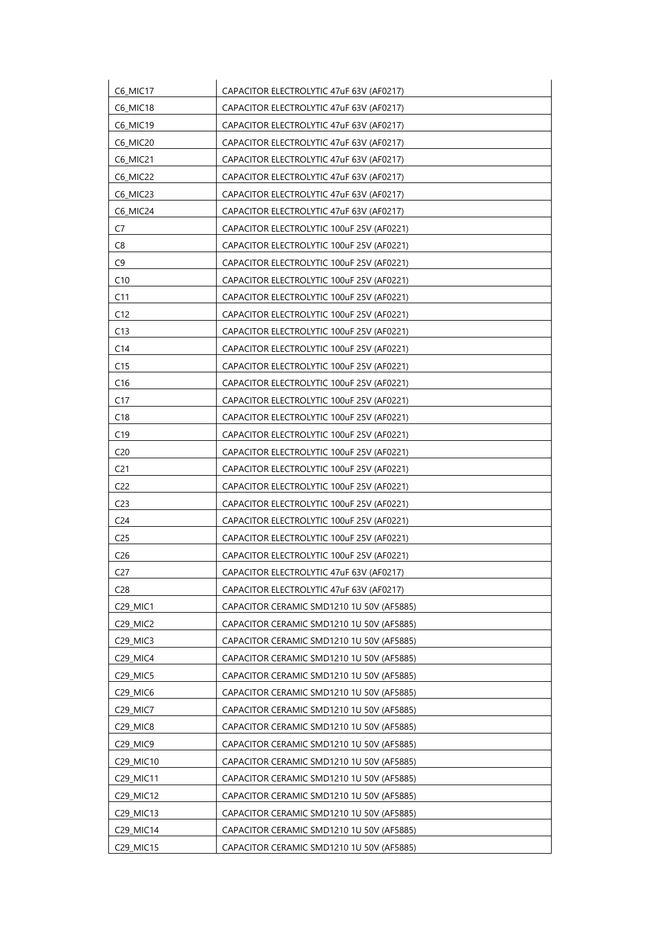| C6_MIC17        | CAPACITOR ELECTROLYTIC 47uF 63V (AF0217)  |
|-----------------|-------------------------------------------|
| C6_MIC18        | CAPACITOR ELECTROLYTIC 47uF 63V (AF0217)  |
| C6_MIC19        | CAPACITOR ELECTROLYTIC 47uF 63V (AF0217)  |
| <b>C6 MIC20</b> | CAPACITOR ELECTROLYTIC 47uF 63V (AF0217)  |
| C6_MIC21        | CAPACITOR ELECTROLYTIC 47uF 63V (AF0217)  |
| C6_MIC22        | CAPACITOR ELECTROLYTIC 47uF 63V (AF0217)  |
| C6_MIC23        | CAPACITOR ELECTROLYTIC 47uF 63V (AF0217)  |
| <b>C6 MIC24</b> | CAPACITOR ELECTROLYTIC 47uF 63V (AF0217)  |
| C7              | CAPACITOR ELECTROLYTIC 100uF 25V (AF0221) |
| C8              | CAPACITOR ELECTROLYTIC 100uF 25V (AF0221) |
| C <sub>9</sub>  | CAPACITOR ELECTROLYTIC 100uF 25V (AF0221) |
| C10             | CAPACITOR ELECTROLYTIC 100uF 25V (AF0221) |
| C11             | CAPACITOR ELECTROLYTIC 100uF 25V (AF0221) |
| C12             | CAPACITOR ELECTROLYTIC 100uF 25V (AF0221) |
| C13             | CAPACITOR ELECTROLYTIC 100uF 25V (AF0221) |
| C <sub>14</sub> | CAPACITOR ELECTROLYTIC 100uF 25V (AF0221) |
| C15             | CAPACITOR ELECTROLYTIC 100uF 25V (AF0221) |
| C16             | CAPACITOR ELECTROLYTIC 100uF 25V (AF0221) |
| C <sub>17</sub> | CAPACITOR ELECTROLYTIC 100uF 25V (AF0221) |
| C18             | CAPACITOR ELECTROLYTIC 100uF 25V (AF0221) |
| C19             | CAPACITOR ELECTROLYTIC 100uF 25V (AF0221) |
| C <sub>20</sub> | CAPACITOR ELECTROLYTIC 100uF 25V (AF0221) |
| C <sub>21</sub> | CAPACITOR ELECTROLYTIC 100uF 25V (AF0221) |
| C <sub>22</sub> | CAPACITOR ELECTROLYTIC 100uF 25V (AF0221) |
| C <sub>23</sub> | CAPACITOR ELECTROLYTIC 100uF 25V (AF0221) |
| C <sub>24</sub> | CAPACITOR ELECTROLYTIC 100uF 25V (AF0221) |
| C <sub>25</sub> | CAPACITOR ELECTROLYTIC 100uF 25V (AF0221) |
| C <sub>26</sub> | CAPACITOR ELECTROLYTIC 100uF 25V (AF0221) |
| C <sub>27</sub> | CAPACITOR ELECTROLYTIC 47uF 63V (AF0217)  |
| C <sub>28</sub> | CAPACITOR ELECTROLYTIC 47uF 63V (AF0217)  |
| C29_MIC1        | CAPACITOR CERAMIC SMD1210 1U 50V (AF5885) |
| C29_MIC2        | CAPACITOR CERAMIC SMD1210 1U 50V (AF5885) |
| <b>C29 MIC3</b> | CAPACITOR CERAMIC SMD1210 1U 50V (AF5885) |
| C29 MIC4        | CAPACITOR CERAMIC SMD1210 1U 50V (AF5885) |
| C29_MIC5        | CAPACITOR CERAMIC SMD1210 1U 50V (AF5885) |
| C29_MIC6        | CAPACITOR CERAMIC SMD1210 1U 50V (AF5885) |
| C29_MIC7        | CAPACITOR CERAMIC SMD1210 1U 50V (AF5885) |
| C29_MIC8        | CAPACITOR CERAMIC SMD1210 1U 50V (AF5885) |
| C29_MIC9        | CAPACITOR CERAMIC SMD1210 1U 50V (AF5885) |
| C29_MIC10       | CAPACITOR CERAMIC SMD1210 1U 50V (AF5885) |
| C29_MIC11       | CAPACITOR CERAMIC SMD1210 1U 50V (AF5885) |
| C29_MIC12       | CAPACITOR CERAMIC SMD1210 1U 50V (AF5885) |
| C29_MIC13       | CAPACITOR CERAMIC SMD1210 1U 50V (AF5885) |
| C29_MIC14       | CAPACITOR CERAMIC SMD1210 1U 50V (AF5885) |
| C29_MIC15       | CAPACITOR CERAMIC SMD1210 1U 50V (AF5885) |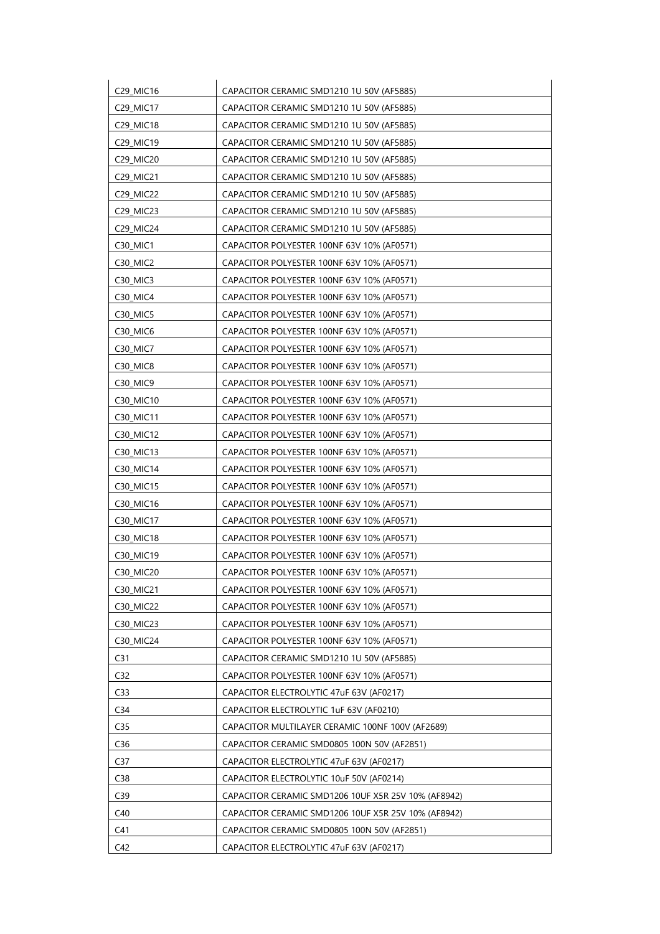| C29_MIC16                         | CAPACITOR CERAMIC SMD1210 1U 50V (AF5885)           |
|-----------------------------------|-----------------------------------------------------|
| C29_MIC17                         | CAPACITOR CERAMIC SMD1210 1U 50V (AF5885)           |
| C29_MIC18                         | CAPACITOR CERAMIC SMD1210 1U 50V (AF5885)           |
| C29_MIC19                         | CAPACITOR CERAMIC SMD1210 1U 50V (AF5885)           |
| C29_MIC20                         | CAPACITOR CERAMIC SMD1210 1U 50V (AF5885)           |
| C29_MIC21                         | CAPACITOR CERAMIC SMD1210 1U 50V (AF5885)           |
| C29_MIC22                         | CAPACITOR CERAMIC SMD1210 1U 50V (AF5885)           |
| C29_MIC23                         | CAPACITOR CERAMIC SMD1210 1U 50V (AF5885)           |
| C29_MIC24                         | CAPACITOR CERAMIC SMD1210 1U 50V (AF5885)           |
| C <sub>30</sub> _MIC <sub>1</sub> | CAPACITOR POLYESTER 100NF 63V 10% (AF0571)          |
| C30_MIC2                          | CAPACITOR POLYESTER 100NF 63V 10% (AF0571)          |
| C30_MIC3                          | CAPACITOR POLYESTER 100NF 63V 10% (AF0571)          |
| C <sub>30</sub> MIC <sub>4</sub>  | CAPACITOR POLYESTER 100NF 63V 10% (AF0571)          |
| C <sub>30</sub> MIC <sub>5</sub>  | CAPACITOR POLYESTER 100NF 63V 10% (AF0571)          |
| C <sub>30</sub> MIC <sub>6</sub>  | CAPACITOR POLYESTER 100NF 63V 10% (AF0571)          |
| C <sub>30</sub> MIC <sub>7</sub>  | CAPACITOR POLYESTER 100NF 63V 10% (AF0571)          |
| C30_MIC8                          | CAPACITOR POLYESTER 100NF 63V 10% (AF0571)          |
| C30_MIC9                          | CAPACITOR POLYESTER 100NF 63V 10% (AF0571)          |
| C30_MIC10                         | CAPACITOR POLYESTER 100NF 63V 10% (AF0571)          |
| C30_MIC11                         | CAPACITOR POLYESTER 100NF 63V 10% (AF0571)          |
| C30_MIC12                         | CAPACITOR POLYESTER 100NF 63V 10% (AF0571)          |
| C30_MIC13                         | CAPACITOR POLYESTER 100NF 63V 10% (AF0571)          |
| C30_MIC14                         | CAPACITOR POLYESTER 100NF 63V 10% (AF0571)          |
| C30_MIC15                         | CAPACITOR POLYESTER 100NF 63V 10% (AF0571)          |
| C30_MIC16                         | CAPACITOR POLYESTER 100NF 63V 10% (AF0571)          |
| C30 MIC17                         | CAPACITOR POLYESTER 100NF 63V 10% (AF0571)          |
| C30_MIC18                         | CAPACITOR POLYESTER 100NF 63V 10% (AF0571)          |
| C30_MIC19                         | CAPACITOR POLYESTER 100NF 63V 10% (AF0571)          |
| C30_MIC20                         | CAPACITOR POLYESTER 100NF 63V 10% (AF0571)          |
| C30_MIC21                         | CAPACITOR POLYESTER 100NF 63V 10% (AF0571)          |
| C30_MIC22                         | CAPACITOR POLYESTER 100NF 63V 10% (AF0571)          |
| C30_MIC23                         | CAPACITOR POLYESTER 100NF 63V 10% (AF0571)          |
| C30_MIC24                         | CAPACITOR POLYESTER 100NF 63V 10% (AF0571)          |
| C <sub>31</sub>                   | CAPACITOR CERAMIC SMD1210 1U 50V (AF5885)           |
| C32                               | CAPACITOR POLYESTER 100NF 63V 10% (AF0571)          |
| C <sub>33</sub>                   | CAPACITOR ELECTROLYTIC 47uF 63V (AF0217)            |
| C <sub>34</sub>                   | CAPACITOR ELECTROLYTIC 1uF 63V (AF0210)             |
| C <sub>35</sub>                   | CAPACITOR MULTILAYER CERAMIC 100NF 100V (AF2689)    |
| C36                               | CAPACITOR CERAMIC SMD0805 100N 50V (AF2851)         |
| C <sub>37</sub>                   | CAPACITOR ELECTROLYTIC 47uF 63V (AF0217)            |
| C38                               | CAPACITOR ELECTROLYTIC 10uF 50V (AF0214)            |
| C <sub>39</sub>                   | CAPACITOR CERAMIC SMD1206 10UF X5R 25V 10% (AF8942) |
| C40                               | CAPACITOR CERAMIC SMD1206 10UF X5R 25V 10% (AF8942) |
| C <sub>41</sub>                   | CAPACITOR CERAMIC SMD0805 100N 50V (AF2851)         |
| C42                               | CAPACITOR ELECTROLYTIC 47uF 63V (AF0217)            |
|                                   |                                                     |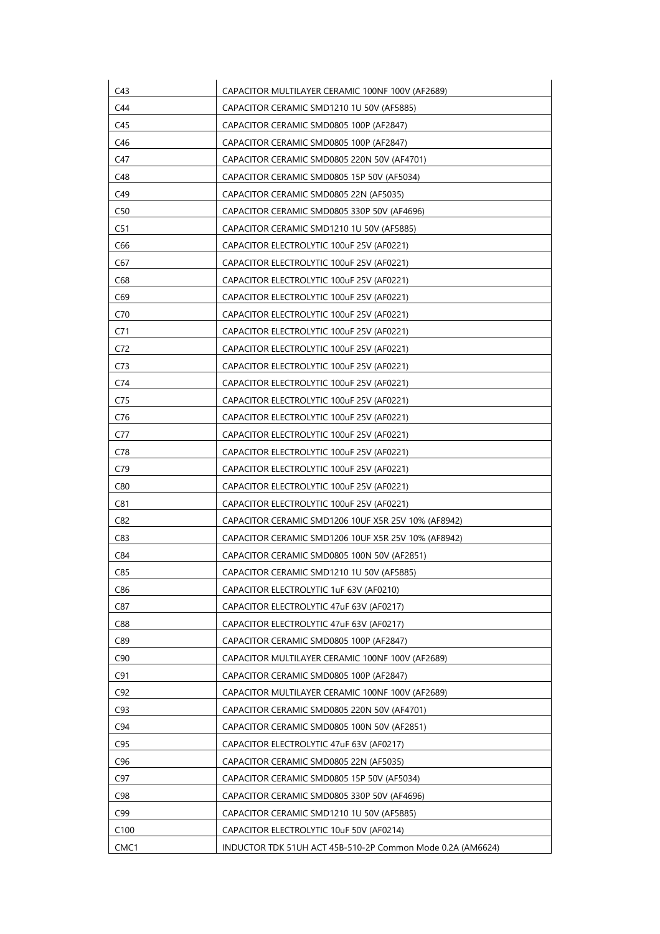| C43              | CAPACITOR MULTILAYER CERAMIC 100NF 100V (AF2689)           |
|------------------|------------------------------------------------------------|
| C44              | CAPACITOR CERAMIC SMD1210 1U 50V (AF5885)                  |
| C45              | CAPACITOR CERAMIC SMD0805 100P (AF2847)                    |
| C46              | CAPACITOR CERAMIC SMD0805 100P (AF2847)                    |
| C47              | CAPACITOR CERAMIC SMD0805 220N 50V (AF4701)                |
| C48              | CAPACITOR CERAMIC SMD0805 15P 50V (AF5034)                 |
| C49              | CAPACITOR CERAMIC SMD0805 22N (AF5035)                     |
| C50              | CAPACITOR CERAMIC SMD0805 330P 50V (AF4696)                |
| C51              | CAPACITOR CERAMIC SMD1210 1U 50V (AF5885)                  |
| C66              | CAPACITOR ELECTROLYTIC 100uF 25V (AF0221)                  |
| C67              | CAPACITOR ELECTROLYTIC 100uF 25V (AF0221)                  |
| C68              | CAPACITOR ELECTROLYTIC 100uF 25V (AF0221)                  |
| C69              | CAPACITOR ELECTROLYTIC 100uF 25V (AF0221)                  |
| C70              | CAPACITOR ELECTROLYTIC 100uF 25V (AF0221)                  |
| C <sub>71</sub>  | CAPACITOR ELECTROLYTIC 100uF 25V (AF0221)                  |
| C72              | CAPACITOR ELECTROLYTIC 100uF 25V (AF0221)                  |
| C73              | CAPACITOR ELECTROLYTIC 100uF 25V (AF0221)                  |
| C74              | CAPACITOR ELECTROLYTIC 100uF 25V (AF0221)                  |
| C75              | CAPACITOR ELECTROLYTIC 100uF 25V (AF0221)                  |
| C76              | CAPACITOR ELECTROLYTIC 100uF 25V (AF0221)                  |
| C77              | CAPACITOR ELECTROLYTIC 100uF 25V (AF0221)                  |
| C78              | CAPACITOR ELECTROLYTIC 100uF 25V (AF0221)                  |
| C79              | CAPACITOR ELECTROLYTIC 100uF 25V (AF0221)                  |
| C80              | CAPACITOR ELECTROLYTIC 100uF 25V (AF0221)                  |
| C81              | CAPACITOR ELECTROLYTIC 100uF 25V (AF0221)                  |
| C82              | CAPACITOR CERAMIC SMD1206 10UF X5R 25V 10% (AF8942)        |
| C83              | CAPACITOR CERAMIC SMD1206 10UF X5R 25V 10% (AF8942)        |
| C84              | CAPACITOR CERAMIC SMD0805 100N 50V (AF2851)                |
| C85              | CAPACITOR CERAMIC SMD1210 1U 50V (AF5885)                  |
| C86              | CAPACITOR ELECTROLYTIC 1uF 63V (AF0210)                    |
| C87              | CAPACITOR ELECTROLYTIC 47uF 63V (AF0217)                   |
| C88              | CAPACITOR ELECTROLYTIC 47uF 63V (AF0217)                   |
| C89              | CAPACITOR CERAMIC SMD0805 100P (AF2847)                    |
| C90              | CAPACITOR MULTILAYER CERAMIC 100NF 100V (AF2689)           |
| C91              | CAPACITOR CERAMIC SMD0805 100P (AF2847)                    |
| C92              | CAPACITOR MULTILAYER CERAMIC 100NF 100V (AF2689)           |
| C93              | CAPACITOR CERAMIC SMD0805 220N 50V (AF4701)                |
| C94              | CAPACITOR CERAMIC SMD0805 100N 50V (AF2851)                |
| C95              | CAPACITOR ELECTROLYTIC 47uF 63V (AF0217)                   |
| C <sub>96</sub>  | CAPACITOR CERAMIC SMD0805 22N (AF5035)                     |
| C97              | CAPACITOR CERAMIC SMD0805 15P 50V (AF5034)                 |
| C98              | CAPACITOR CERAMIC SMD0805 330P 50V (AF4696)                |
| C99              | CAPACITOR CERAMIC SMD1210 1U 50V (AF5885)                  |
| C <sub>100</sub> | CAPACITOR ELECTROLYTIC 10uF 50V (AF0214)                   |
| CMC1             | INDUCTOR TDK 51UH ACT 45B-510-2P Common Mode 0.2A (AM6624) |
|                  |                                                            |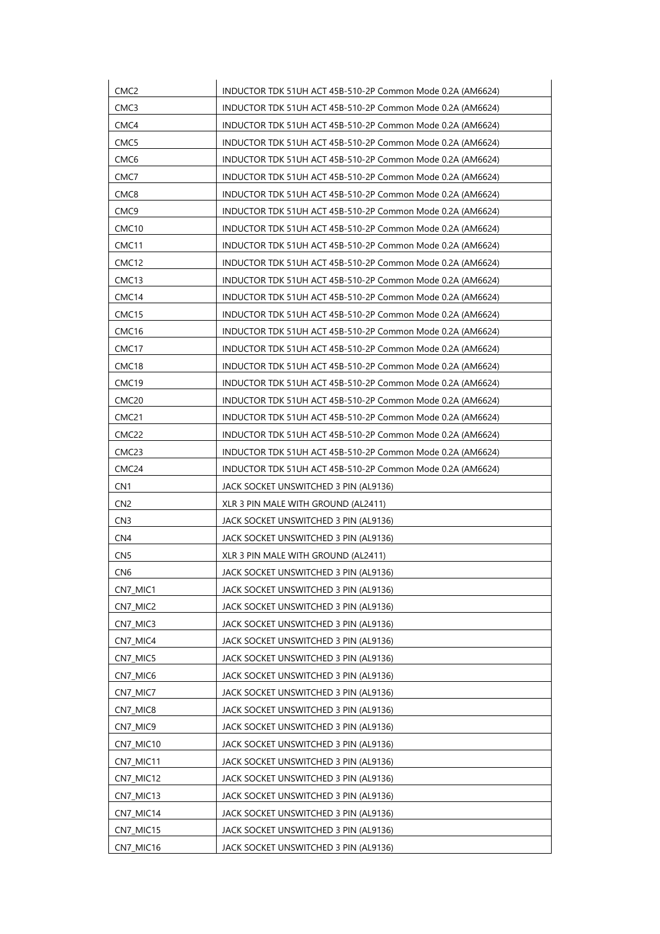| CMC <sub>2</sub>  | INDUCTOR TDK 51UH ACT 45B-510-2P Common Mode 0.2A (AM6624) |
|-------------------|------------------------------------------------------------|
| CMC3              | INDUCTOR TDK 51UH ACT 45B-510-2P Common Mode 0.2A (AM6624) |
| CMC4              | INDUCTOR TDK 51UH ACT 45B-510-2P Common Mode 0.2A (AM6624) |
| CMC5              | INDUCTOR TDK 51UH ACT 45B-510-2P Common Mode 0.2A (AM6624) |
| CMC <sub>6</sub>  | INDUCTOR TDK 51UH ACT 45B-510-2P Common Mode 0.2A (AM6624) |
| CMC7              | INDUCTOR TDK 51UH ACT 45B-510-2P Common Mode 0.2A (AM6624) |
| CMC8              | INDUCTOR TDK 51UH ACT 45B-510-2P Common Mode 0.2A (AM6624) |
| CMC <sub>9</sub>  | INDUCTOR TDK 51UH ACT 45B-510-2P Common Mode 0.2A (AM6624) |
| CMC10             | INDUCTOR TDK 51UH ACT 45B-510-2P Common Mode 0.2A (AM6624) |
| CMC <sub>11</sub> | INDUCTOR TDK 51UH ACT 45B-510-2P Common Mode 0.2A (AM6624) |
| CMC <sub>12</sub> | INDUCTOR TDK 51UH ACT 45B-510-2P Common Mode 0.2A (AM6624) |
| CMC <sub>13</sub> | INDUCTOR TDK 51UH ACT 45B-510-2P Common Mode 0.2A (AM6624) |
| CMC <sub>14</sub> | INDUCTOR TDK 51UH ACT 45B-510-2P Common Mode 0.2A (AM6624) |
| CMC15             | INDUCTOR TDK 51UH ACT 45B-510-2P Common Mode 0.2A (AM6624) |
| CMC <sub>16</sub> | INDUCTOR TDK 51UH ACT 45B-510-2P Common Mode 0.2A (AM6624) |
| CMC <sub>17</sub> | INDUCTOR TDK 51UH ACT 45B-510-2P Common Mode 0.2A (AM6624) |
| CMC <sub>18</sub> | INDUCTOR TDK 51UH ACT 45B-510-2P Common Mode 0.2A (AM6624) |
| CMC <sub>19</sub> | INDUCTOR TDK 51UH ACT 45B-510-2P Common Mode 0.2A (AM6624) |
| CMC <sub>20</sub> | INDUCTOR TDK 51UH ACT 45B-510-2P Common Mode 0.2A (AM6624) |
| CMC <sub>21</sub> | INDUCTOR TDK 51UH ACT 45B-510-2P Common Mode 0.2A (AM6624) |
| CMC22             | INDUCTOR TDK 51UH ACT 45B-510-2P Common Mode 0.2A (AM6624) |
| CMC <sub>23</sub> | INDUCTOR TDK 51UH ACT 45B-510-2P Common Mode 0.2A (AM6624) |
| CMC <sub>24</sub> | INDUCTOR TDK 51UH ACT 45B-510-2P Common Mode 0.2A (AM6624) |
| CN <sub>1</sub>   | JACK SOCKET UNSWITCHED 3 PIN (AL9136)                      |
| CN <sub>2</sub>   | XLR 3 PIN MALE WITH GROUND (AL2411)                        |
| CN <sub>3</sub>   | JACK SOCKET UNSWITCHED 3 PIN (AL9136)                      |
| CN <sub>4</sub>   | JACK SOCKET UNSWITCHED 3 PIN (AL9136)                      |
| CN <sub>5</sub>   | XLR 3 PIN MALE WITH GROUND (AL2411)                        |
| CN <sub>6</sub>   | JACK SOCKET UNSWITCHED 3 PIN (AL9136)                      |
| CN7_MIC1          | JACK SOCKET UNSWITCHED 3 PIN (AL9136)                      |
| CN7_MIC2          | JACK SOCKET UNSWITCHED 3 PIN (AL9136)                      |
| CN7_MIC3          | JACK SOCKET UNSWITCHED 3 PIN (AL9136)                      |
| CN7_MIC4          | JACK SOCKET UNSWITCHED 3 PIN (AL9136)                      |
| CN7_MIC5          | JACK SOCKET UNSWITCHED 3 PIN (AL9136)                      |
| CN7_MIC6          | JACK SOCKET UNSWITCHED 3 PIN (AL9136)                      |
| CN7_MIC7          | JACK SOCKET UNSWITCHED 3 PIN (AL9136)                      |
| CN7_MIC8          | JACK SOCKET UNSWITCHED 3 PIN (AL9136)                      |
| CN7_MIC9          | JACK SOCKET UNSWITCHED 3 PIN (AL9136)                      |
| CN7_MIC10         | JACK SOCKET UNSWITCHED 3 PIN (AL9136)                      |
| CN7_MIC11         | JACK SOCKET UNSWITCHED 3 PIN (AL9136)                      |
| CN7_MIC12         | JACK SOCKET UNSWITCHED 3 PIN (AL9136)                      |
| CN7_MIC13         | JACK SOCKET UNSWITCHED 3 PIN (AL9136)                      |
| CN7_MIC14         | JACK SOCKET UNSWITCHED 3 PIN (AL9136)                      |
| CN7_MIC15         | JACK SOCKET UNSWITCHED 3 PIN (AL9136)                      |
| CN7_MIC16         | JACK SOCKET UNSWITCHED 3 PIN (AL9136)                      |
|                   |                                                            |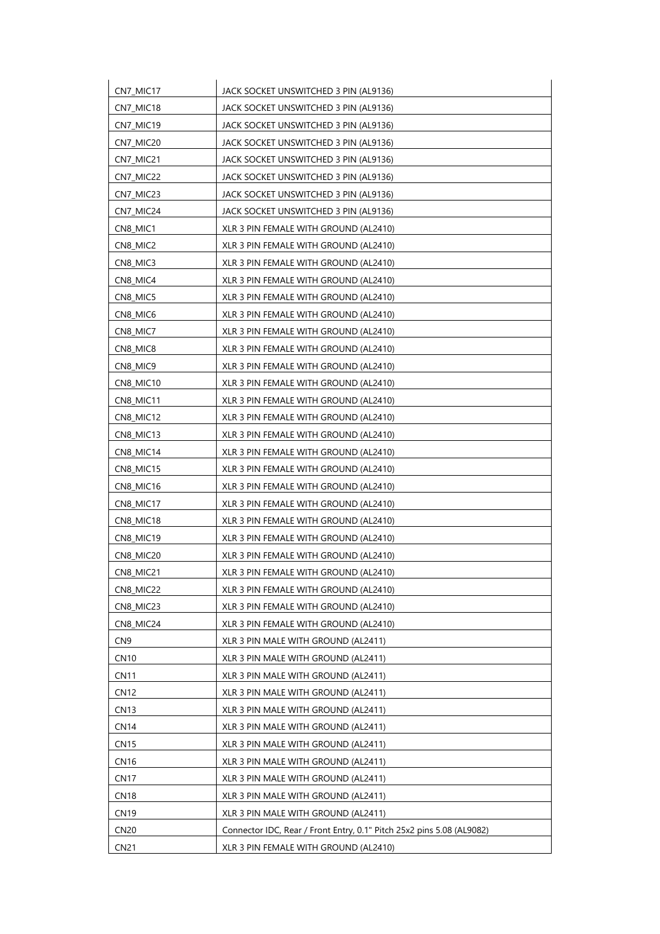| CN7_MIC17       | JACK SOCKET UNSWITCHED 3 PIN (AL9136)                                 |
|-----------------|-----------------------------------------------------------------------|
| CN7_MIC18       | JACK SOCKET UNSWITCHED 3 PIN (AL9136)                                 |
| CN7_MIC19       | JACK SOCKET UNSWITCHED 3 PIN (AL9136)                                 |
| CN7_MIC20       | JACK SOCKET UNSWITCHED 3 PIN (AL9136)                                 |
| CN7_MIC21       | JACK SOCKET UNSWITCHED 3 PIN (AL9136)                                 |
| CN7_MIC22       | JACK SOCKET UNSWITCHED 3 PIN (AL9136)                                 |
| CN7_MIC23       | JACK SOCKET UNSWITCHED 3 PIN (AL9136)                                 |
| CN7_MIC24       | JACK SOCKET UNSWITCHED 3 PIN (AL9136)                                 |
| CN8_MIC1        | XLR 3 PIN FEMALE WITH GROUND (AL2410)                                 |
| CN8_MIC2        | XLR 3 PIN FEMALE WITH GROUND (AL2410)                                 |
| CN8_MIC3        | XLR 3 PIN FEMALE WITH GROUND (AL2410)                                 |
| CN8_MIC4        | XLR 3 PIN FEMALE WITH GROUND (AL2410)                                 |
| CN8_MIC5        | XLR 3 PIN FEMALE WITH GROUND (AL2410)                                 |
| CN8_MIC6        | XLR 3 PIN FEMALE WITH GROUND (AL2410)                                 |
| CN8_MIC7        | XLR 3 PIN FEMALE WITH GROUND (AL2410)                                 |
| CN8_MIC8        | XLR 3 PIN FEMALE WITH GROUND (AL2410)                                 |
| CN8_MIC9        | XLR 3 PIN FEMALE WITH GROUND (AL2410)                                 |
| CN8 MIC10       | XLR 3 PIN FEMALE WITH GROUND (AL2410)                                 |
| CN8_MIC11       | XLR 3 PIN FEMALE WITH GROUND (AL2410)                                 |
| CN8_MIC12       | XLR 3 PIN FEMALE WITH GROUND (AL2410)                                 |
| CN8_MIC13       | XLR 3 PIN FEMALE WITH GROUND (AL2410)                                 |
| CN8_MIC14       | XLR 3 PIN FEMALE WITH GROUND (AL2410)                                 |
| CN8_MIC15       | XLR 3 PIN FEMALE WITH GROUND (AL2410)                                 |
| CN8_MIC16       | XLR 3 PIN FEMALE WITH GROUND (AL2410)                                 |
| CN8_MIC17       | XLR 3 PIN FEMALE WITH GROUND (AL2410)                                 |
| CN8_MIC18       | XLR 3 PIN FEMALE WITH GROUND (AL2410)                                 |
| CN8_MIC19       | XLR 3 PIN FEMALE WITH GROUND (AL2410)                                 |
| CN8_MIC20       | XLR 3 PIN FEMALE WITH GROUND (AL2410)                                 |
| CN8_MIC21       | XLR 3 PIN FEMALE WITH GROUND (AL2410)                                 |
| CN8_MIC22       | XLR 3 PIN FEMALE WITH GROUND (AL2410)                                 |
| CN8_MIC23       | XLR 3 PIN FEMALE WITH GROUND (AL2410)                                 |
| CN8_MIC24       | XLR 3 PIN FEMALE WITH GROUND (AL2410)                                 |
| CN <sub>9</sub> | XLR 3 PIN MALE WITH GROUND (AL2411)                                   |
| <b>CN10</b>     | XLR 3 PIN MALE WITH GROUND (AL2411)                                   |
| <b>CN11</b>     | XLR 3 PIN MALE WITH GROUND (AL2411)                                   |
| <b>CN12</b>     | XLR 3 PIN MALE WITH GROUND (AL2411)                                   |
| <b>CN13</b>     | XLR 3 PIN MALE WITH GROUND (AL2411)                                   |
| <b>CN14</b>     | XLR 3 PIN MALE WITH GROUND (AL2411)                                   |
| <b>CN15</b>     | XLR 3 PIN MALE WITH GROUND (AL2411)                                   |
| CN16            | XLR 3 PIN MALE WITH GROUND (AL2411)                                   |
| <b>CN17</b>     | XLR 3 PIN MALE WITH GROUND (AL2411)                                   |
| <b>CN18</b>     | XLR 3 PIN MALE WITH GROUND (AL2411)                                   |
| <b>CN19</b>     | XLR 3 PIN MALE WITH GROUND (AL2411)                                   |
| <b>CN20</b>     | Connector IDC, Rear / Front Entry, 0.1" Pitch 25x2 pins 5.08 (AL9082) |
| <b>CN21</b>     | XLR 3 PIN FEMALE WITH GROUND (AL2410)                                 |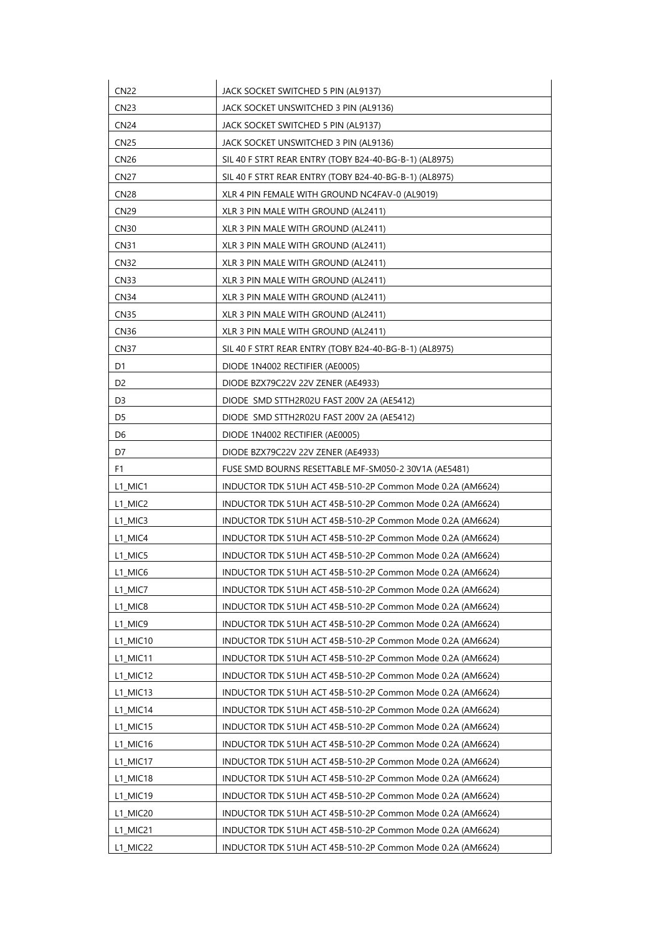| <b>CN22</b>      | JACK SOCKET SWITCHED 5 PIN (AL9137)                        |
|------------------|------------------------------------------------------------|
| CN <sub>23</sub> | JACK SOCKET UNSWITCHED 3 PIN (AL9136)                      |
| <b>CN24</b>      | JACK SOCKET SWITCHED 5 PIN (AL9137)                        |
| CN <sub>25</sub> | JACK SOCKET UNSWITCHED 3 PIN (AL9136)                      |
| <b>CN26</b>      | SIL 40 F STRT REAR ENTRY (TOBY B24-40-BG-B-1) (AL8975)     |
| CN <sub>27</sub> | SIL 40 F STRT REAR ENTRY (TOBY B24-40-BG-B-1) (AL8975)     |
| CN28             | XLR 4 PIN FEMALE WITH GROUND NC4FAV-0 (AL9019)             |
| <b>CN29</b>      | XLR 3 PIN MALE WITH GROUND (AL2411)                        |
| CN <sub>30</sub> | XLR 3 PIN MALE WITH GROUND (AL2411)                        |
| <b>CN31</b>      | XLR 3 PIN MALE WITH GROUND (AL2411)                        |
| CN32             | XLR 3 PIN MALE WITH GROUND (AL2411)                        |
| CN <sub>33</sub> | XLR 3 PIN MALE WITH GROUND (AL2411)                        |
| <b>CN34</b>      | XLR 3 PIN MALE WITH GROUND (AL2411)                        |
| CN35             | XLR 3 PIN MALE WITH GROUND (AL2411)                        |
| <b>CN36</b>      | XLR 3 PIN MALE WITH GROUND (AL2411)                        |
| CN <sub>37</sub> | SIL 40 F STRT REAR ENTRY (TOBY B24-40-BG-B-1) (AL8975)     |
| D1               | DIODE 1N4002 RECTIFIER (AE0005)                            |
| D <sub>2</sub>   | DIODE BZX79C22V 22V ZENER (AE4933)                         |
| D3               | DIODE SMD STTH2R02U FAST 200V 2A (AE5412)                  |
| D5               | DIODE SMD STTH2R02U FAST 200V 2A (AE5412)                  |
| D6               | DIODE 1N4002 RECTIFIER (AE0005)                            |
| D7               | DIODE BZX79C22V 22V ZENER (AE4933)                         |
| F1               | FUSE SMD BOURNS RESETTABLE MF-SM050-2 30V1A (AE5481)       |
| L1 MIC1          | INDUCTOR TDK 51UH ACT 45B-510-2P Common Mode 0.2A (AM6624) |
| L1_MIC2          | INDUCTOR TDK 51UH ACT 45B-510-2P Common Mode 0.2A (AM6624) |
| L1_MIC3          | INDUCTOR TDK 51UH ACT 45B-510-2P Common Mode 0.2A (AM6624) |
| L1_MIC4          | INDUCTOR TDK 51UH ACT 45B-510-2P Common Mode 0.2A (AM6624) |
| L1_MIC5          | INDUCTOR TDK 51UH ACT 45B-510-2P Common Mode 0.2A (AM6624) |
| L1_MIC6          | INDUCTOR TDK 51UH ACT 45B-510-2P Common Mode 0.2A (AM6624) |
| L1_MIC7          | INDUCTOR TDK 51UH ACT 45B-510-2P Common Mode 0.2A (AM6624) |
| L1_MIC8          | INDUCTOR TDK 51UH ACT 45B-510-2P Common Mode 0.2A (AM6624) |
| L1_MIC9          | INDUCTOR TDK 51UH ACT 45B-510-2P Common Mode 0.2A (AM6624) |
| L1_MIC10         | INDUCTOR TDK 51UH ACT 45B-510-2P Common Mode 0.2A (AM6624) |
| L1_MIC11         | INDUCTOR TDK 51UH ACT 45B-510-2P Common Mode 0.2A (AM6624) |
| L1_MIC12         | INDUCTOR TDK 51UH ACT 45B-510-2P Common Mode 0.2A (AM6624) |
| L1_MIC13         | INDUCTOR TDK 51UH ACT 45B-510-2P Common Mode 0.2A (AM6624) |
| L1_MIC14         | INDUCTOR TDK 51UH ACT 45B-510-2P Common Mode 0.2A (AM6624) |
| L1_MIC15         | INDUCTOR TDK 51UH ACT 45B-510-2P Common Mode 0.2A (AM6624) |
| L1_MIC16         | INDUCTOR TDK 51UH ACT 45B-510-2P Common Mode 0.2A (AM6624) |
| $L1$ MIC17       | INDUCTOR TDK 51UH ACT 45B-510-2P Common Mode 0.2A (AM6624) |
| L1_MIC18         | INDUCTOR TDK 51UH ACT 45B-510-2P Common Mode 0.2A (AM6624) |
| L1_MIC19         | INDUCTOR TDK 51UH ACT 45B-510-2P Common Mode 0.2A (AM6624) |
| L1_MIC20         | INDUCTOR TDK 51UH ACT 45B-510-2P Common Mode 0.2A (AM6624) |
| L1_MIC21         | INDUCTOR TDK 51UH ACT 45B-510-2P Common Mode 0.2A (AM6624) |
| L1_MIC22         | INDUCTOR TDK 51UH ACT 45B-510-2P Common Mode 0.2A (AM6624) |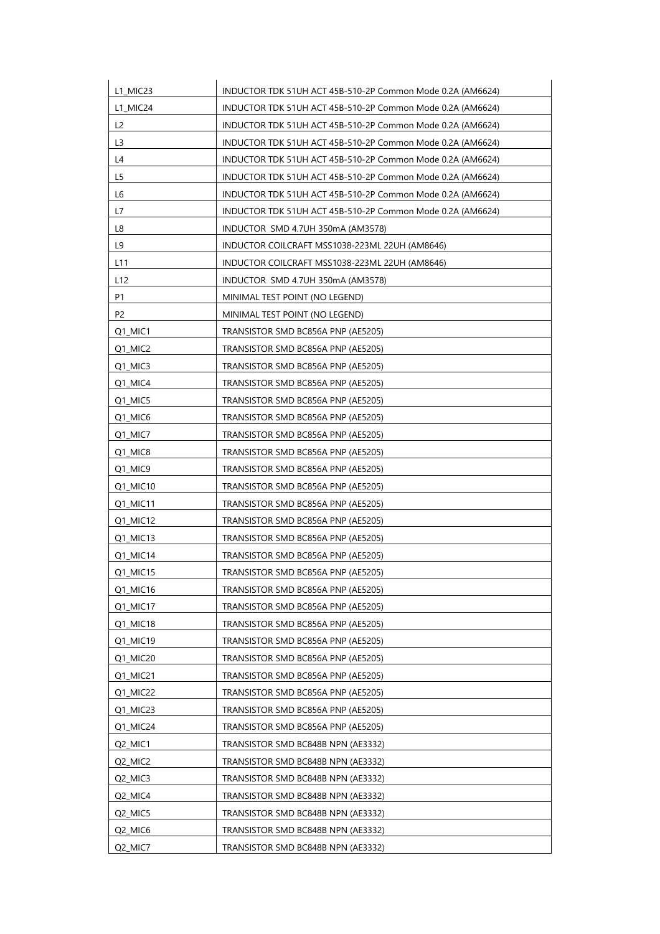| L1_MIC24<br>INDUCTOR TDK 51UH ACT 45B-510-2P Common Mode 0.2A (AM6624)<br>L <sub>2</sub><br>INDUCTOR TDK 51UH ACT 45B-510-2P Common Mode 0.2A (AM6624)<br>L <sub>3</sub><br>INDUCTOR TDK 51UH ACT 45B-510-2P Common Mode 0.2A (AM6624)<br>L4<br>INDUCTOR TDK 51UH ACT 45B-510-2P Common Mode 0.2A (AM6624)<br>L5<br>INDUCTOR TDK 51UH ACT 45B-510-2P Common Mode 0.2A (AM6624)<br>INDUCTOR TDK 51UH ACT 45B-510-2P Common Mode 0.2A (AM6624)<br>L6<br>L7<br>INDUCTOR TDK 51UH ACT 45B-510-2P Common Mode 0.2A (AM6624)<br>L8<br>INDUCTOR SMD 4.7UH 350mA (AM3578)<br>L9<br>INDUCTOR COILCRAFT MSS1038-223ML 22UH (AM8646) |  |
|---------------------------------------------------------------------------------------------------------------------------------------------------------------------------------------------------------------------------------------------------------------------------------------------------------------------------------------------------------------------------------------------------------------------------------------------------------------------------------------------------------------------------------------------------------------------------------------------------------------------------|--|
|                                                                                                                                                                                                                                                                                                                                                                                                                                                                                                                                                                                                                           |  |
|                                                                                                                                                                                                                                                                                                                                                                                                                                                                                                                                                                                                                           |  |
|                                                                                                                                                                                                                                                                                                                                                                                                                                                                                                                                                                                                                           |  |
|                                                                                                                                                                                                                                                                                                                                                                                                                                                                                                                                                                                                                           |  |
|                                                                                                                                                                                                                                                                                                                                                                                                                                                                                                                                                                                                                           |  |
|                                                                                                                                                                                                                                                                                                                                                                                                                                                                                                                                                                                                                           |  |
|                                                                                                                                                                                                                                                                                                                                                                                                                                                                                                                                                                                                                           |  |
|                                                                                                                                                                                                                                                                                                                                                                                                                                                                                                                                                                                                                           |  |
|                                                                                                                                                                                                                                                                                                                                                                                                                                                                                                                                                                                                                           |  |
| L <sub>11</sub><br>INDUCTOR COILCRAFT MSS1038-223ML 22UH (AM8646)                                                                                                                                                                                                                                                                                                                                                                                                                                                                                                                                                         |  |
| L <sub>12</sub><br>INDUCTOR SMD 4.7UH 350mA (AM3578)                                                                                                                                                                                                                                                                                                                                                                                                                                                                                                                                                                      |  |
| P1<br>MINIMAL TEST POINT (NO LEGEND)                                                                                                                                                                                                                                                                                                                                                                                                                                                                                                                                                                                      |  |
| P <sub>2</sub><br>MINIMAL TEST POINT (NO LEGEND)                                                                                                                                                                                                                                                                                                                                                                                                                                                                                                                                                                          |  |
| Q1 MIC1<br>TRANSISTOR SMD BC856A PNP (AE5205)                                                                                                                                                                                                                                                                                                                                                                                                                                                                                                                                                                             |  |
| Q1_MIC2<br>TRANSISTOR SMD BC856A PNP (AE5205)                                                                                                                                                                                                                                                                                                                                                                                                                                                                                                                                                                             |  |
| Q1_MIC3<br>TRANSISTOR SMD BC856A PNP (AE5205)                                                                                                                                                                                                                                                                                                                                                                                                                                                                                                                                                                             |  |
| Q1_MIC4<br>TRANSISTOR SMD BC856A PNP (AE5205)                                                                                                                                                                                                                                                                                                                                                                                                                                                                                                                                                                             |  |
| Q1_MIC5<br>TRANSISTOR SMD BC856A PNP (AE5205)                                                                                                                                                                                                                                                                                                                                                                                                                                                                                                                                                                             |  |
| Q1_MIC6<br>TRANSISTOR SMD BC856A PNP (AE5205)                                                                                                                                                                                                                                                                                                                                                                                                                                                                                                                                                                             |  |
| Q1_MIC7<br>TRANSISTOR SMD BC856A PNP (AE5205)                                                                                                                                                                                                                                                                                                                                                                                                                                                                                                                                                                             |  |
| Q1_MIC8<br>TRANSISTOR SMD BC856A PNP (AE5205)                                                                                                                                                                                                                                                                                                                                                                                                                                                                                                                                                                             |  |
| Q1_MIC9<br>TRANSISTOR SMD BC856A PNP (AE5205)                                                                                                                                                                                                                                                                                                                                                                                                                                                                                                                                                                             |  |
| Q1_MIC10<br>TRANSISTOR SMD BC856A PNP (AE5205)                                                                                                                                                                                                                                                                                                                                                                                                                                                                                                                                                                            |  |
| Q1_MIC11<br>TRANSISTOR SMD BC856A PNP (AE5205)                                                                                                                                                                                                                                                                                                                                                                                                                                                                                                                                                                            |  |
| Q1_MIC12<br>TRANSISTOR SMD BC856A PNP (AE5205)                                                                                                                                                                                                                                                                                                                                                                                                                                                                                                                                                                            |  |
| Q1_MIC13<br>TRANSISTOR SMD BC856A PNP (AE5205)                                                                                                                                                                                                                                                                                                                                                                                                                                                                                                                                                                            |  |
| Q1_MIC14<br>TRANSISTOR SMD BC856A PNP (AE5205)                                                                                                                                                                                                                                                                                                                                                                                                                                                                                                                                                                            |  |
| Q1_MIC15<br>TRANSISTOR SMD BC856A PNP (AE5205)                                                                                                                                                                                                                                                                                                                                                                                                                                                                                                                                                                            |  |
| Q1_MIC16<br>TRANSISTOR SMD BC856A PNP (AE5205)                                                                                                                                                                                                                                                                                                                                                                                                                                                                                                                                                                            |  |
| Q1_MIC17<br>TRANSISTOR SMD BC856A PNP (AE5205)                                                                                                                                                                                                                                                                                                                                                                                                                                                                                                                                                                            |  |
| Q1_MIC18<br>TRANSISTOR SMD BC856A PNP (AE5205)                                                                                                                                                                                                                                                                                                                                                                                                                                                                                                                                                                            |  |
| Q1_MIC19<br>TRANSISTOR SMD BC856A PNP (AE5205)                                                                                                                                                                                                                                                                                                                                                                                                                                                                                                                                                                            |  |
| Q1_MIC20<br>TRANSISTOR SMD BC856A PNP (AE5205)                                                                                                                                                                                                                                                                                                                                                                                                                                                                                                                                                                            |  |
| TRANSISTOR SMD BC856A PNP (AE5205)<br>Q1_MIC21                                                                                                                                                                                                                                                                                                                                                                                                                                                                                                                                                                            |  |
| Q1_MIC22<br>TRANSISTOR SMD BC856A PNP (AE5205)                                                                                                                                                                                                                                                                                                                                                                                                                                                                                                                                                                            |  |
| Q1_MIC23<br>TRANSISTOR SMD BC856A PNP (AE5205)                                                                                                                                                                                                                                                                                                                                                                                                                                                                                                                                                                            |  |
| Q1_MIC24<br>TRANSISTOR SMD BC856A PNP (AE5205)                                                                                                                                                                                                                                                                                                                                                                                                                                                                                                                                                                            |  |
| Q2_MIC1<br>TRANSISTOR SMD BC848B NPN (AE3332)                                                                                                                                                                                                                                                                                                                                                                                                                                                                                                                                                                             |  |
| Q2_MIC2<br>TRANSISTOR SMD BC848B NPN (AE3332)                                                                                                                                                                                                                                                                                                                                                                                                                                                                                                                                                                             |  |
| Q2_MIC3<br>TRANSISTOR SMD BC848B NPN (AE3332)                                                                                                                                                                                                                                                                                                                                                                                                                                                                                                                                                                             |  |
| Q2_MIC4<br>TRANSISTOR SMD BC848B NPN (AE3332)                                                                                                                                                                                                                                                                                                                                                                                                                                                                                                                                                                             |  |
| Q2_MIC5<br>TRANSISTOR SMD BC848B NPN (AE3332)                                                                                                                                                                                                                                                                                                                                                                                                                                                                                                                                                                             |  |
| Q2_MIC6<br>TRANSISTOR SMD BC848B NPN (AE3332)                                                                                                                                                                                                                                                                                                                                                                                                                                                                                                                                                                             |  |
| Q2_MIC7<br>TRANSISTOR SMD BC848B NPN (AE3332)                                                                                                                                                                                                                                                                                                                                                                                                                                                                                                                                                                             |  |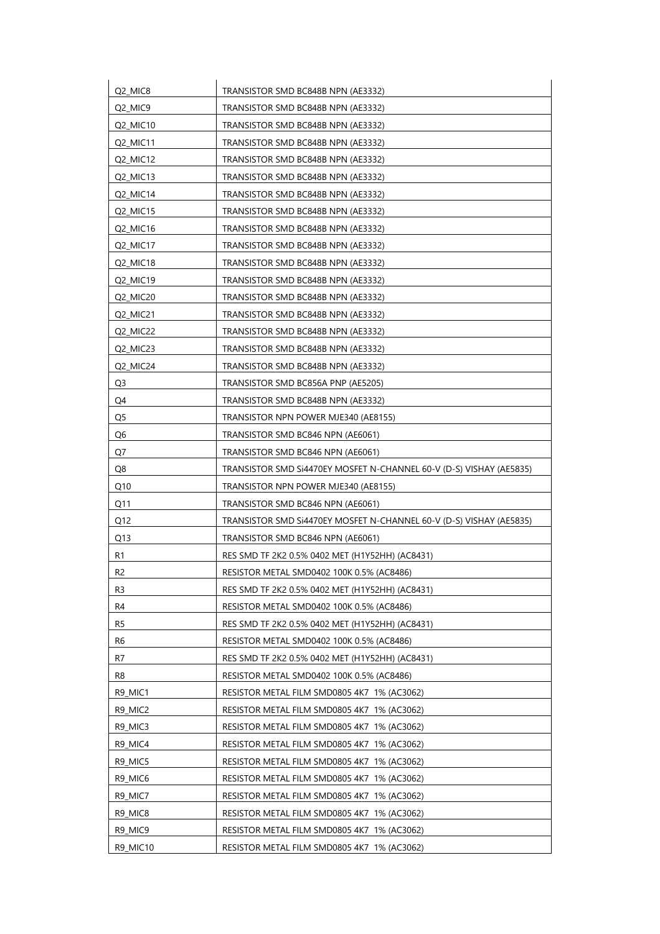| Q2_MIC8         | TRANSISTOR SMD BC848B NPN (AE3332)                                  |
|-----------------|---------------------------------------------------------------------|
| Q2_MIC9         | TRANSISTOR SMD BC848B NPN (AE3332)                                  |
| Q2_MIC10        | TRANSISTOR SMD BC848B NPN (AE3332)                                  |
| Q2_MIC11        | TRANSISTOR SMD BC848B NPN (AE3332)                                  |
| Q2_MIC12        | TRANSISTOR SMD BC848B NPN (AE3332)                                  |
| Q2_MIC13        | TRANSISTOR SMD BC848B NPN (AE3332)                                  |
| Q2_MIC14        | TRANSISTOR SMD BC848B NPN (AE3332)                                  |
| Q2_MIC15        | TRANSISTOR SMD BC848B NPN (AE3332)                                  |
| Q2_MIC16        | TRANSISTOR SMD BC848B NPN (AE3332)                                  |
| Q2_MIC17        | TRANSISTOR SMD BC848B NPN (AE3332)                                  |
| Q2_MIC18        | TRANSISTOR SMD BC848B NPN (AE3332)                                  |
| Q2_MIC19        | TRANSISTOR SMD BC848B NPN (AE3332)                                  |
| Q2_MIC20        | TRANSISTOR SMD BC848B NPN (AE3332)                                  |
| Q2 MIC21        | TRANSISTOR SMD BC848B NPN (AE3332)                                  |
| Q2_MIC22        | TRANSISTOR SMD BC848B NPN (AE3332)                                  |
| Q2_MIC23        | TRANSISTOR SMD BC848B NPN (AE3332)                                  |
| Q2 MIC24        | TRANSISTOR SMD BC848B NPN (AE3332)                                  |
| Q <sub>3</sub>  | TRANSISTOR SMD BC856A PNP (AE5205)                                  |
| Q4              | TRANSISTOR SMD BC848B NPN (AE3332)                                  |
| Q <sub>5</sub>  | TRANSISTOR NPN POWER MJE340 (AE8155)                                |
| Q6              | TRANSISTOR SMD BC846 NPN (AE6061)                                   |
| Q7              | TRANSISTOR SMD BC846 NPN (AE6061)                                   |
| Q8              | TRANSISTOR SMD SI4470EY MOSFET N-CHANNEL 60-V (D-S) VISHAY (AE5835) |
| Q10             | TRANSISTOR NPN POWER MJE340 (AE8155)                                |
| Q11             | TRANSISTOR SMD BC846 NPN (AE6061)                                   |
| O <sub>12</sub> | TRANSISTOR SMD Si4470EY MOSFET N-CHANNEL 60-V (D-S) VISHAY (AE5835) |
| Q13             | TRANSISTOR SMD BC846 NPN (AE6061)                                   |
| R1              | RES SMD TF 2K2 0.5% 0402 MET (H1Y52HH) (AC8431)                     |
| R <sub>2</sub>  | RESISTOR METAL SMD0402 100K 0.5% (AC8486)                           |
| R3              | RES SMD TF 2K2 0.5% 0402 MET (H1Y52HH) (AC8431)                     |
| R4              | RESISTOR METAL SMD0402 100K 0.5% (AC8486)                           |
| R5              | RES SMD TF 2K2 0.5% 0402 MET (H1Y52HH) (AC8431)                     |
| R6              | RESISTOR METAL SMD0402 100K 0.5% (AC8486)                           |
| R7              | RES SMD TF 2K2 0.5% 0402 MET (H1Y52HH) (AC8431)                     |
| R8              | RESISTOR METAL SMD0402 100K 0.5% (AC8486)                           |
| R9 MIC1         | RESISTOR METAL FILM SMD0805 4K7 1% (AC3062)                         |
| R9_MIC2         | RESISTOR METAL FILM SMD0805 4K7 1% (AC3062)                         |
| R9_MIC3         | RESISTOR METAL FILM SMD0805 4K7 1% (AC3062)                         |
| R9_MIC4         | RESISTOR METAL FILM SMD0805 4K7 1% (AC3062)                         |
| R9_MIC5         | RESISTOR METAL FILM SMD0805 4K7 1% (AC3062)                         |
| R9_MIC6         | RESISTOR METAL FILM SMD0805 4K7 1% (AC3062)                         |
| R9_MIC7         | RESISTOR METAL FILM SMD0805 4K7 1% (AC3062)                         |
| R9_MIC8         | RESISTOR METAL FILM SMD0805 4K7 1% (AC3062)                         |
| R9_MIC9         | RESISTOR METAL FILM SMD0805 4K7 1% (AC3062)                         |
| R9_MIC10        | RESISTOR METAL FILM SMD0805 4K7 1% (AC3062)                         |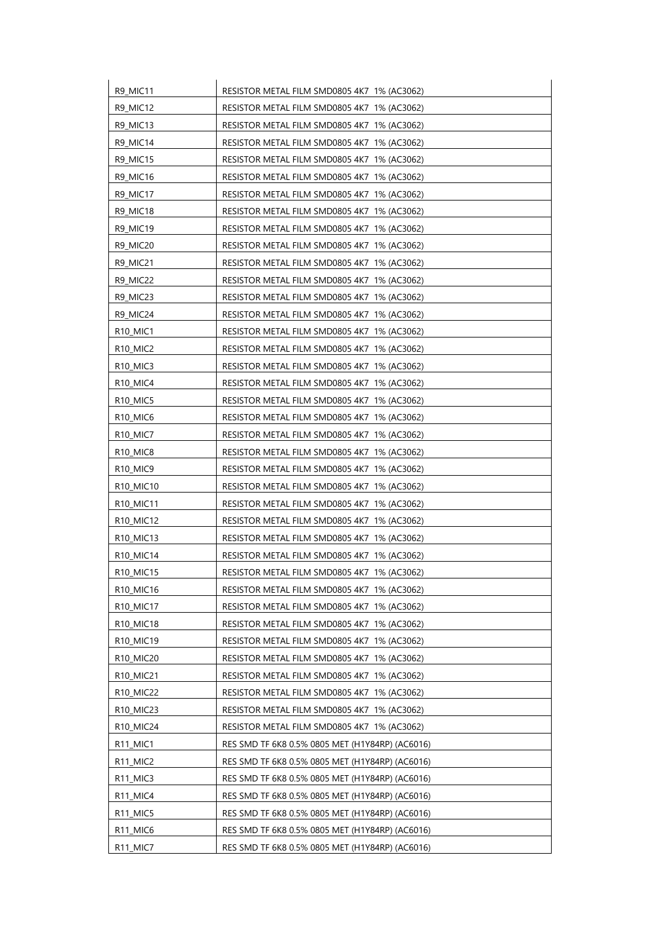| R9_MIC11                           | RESISTOR METAL FILM SMD0805 4K7 1% (AC3062)     |
|------------------------------------|-------------------------------------------------|
| R9_MIC12                           | RESISTOR METAL FILM SMD0805 4K7 1% (AC3062)     |
| R9_MIC13                           | RESISTOR METAL FILM SMD0805 4K7 1% (AC3062)     |
| R9_MIC14                           | RESISTOR METAL FILM SMD0805 4K7 1% (AC3062)     |
| R9_MIC15                           | RESISTOR METAL FILM SMD0805 4K7 1% (AC3062)     |
| R9_MIC16                           | RESISTOR METAL FILM SMD0805 4K7 1% (AC3062)     |
| R9_MIC17                           | RESISTOR METAL FILM SMD0805 4K7 1% (AC3062)     |
| R9_MIC18                           | RESISTOR METAL FILM SMD0805 4K7 1% (AC3062)     |
| R9_MIC19                           | RESISTOR METAL FILM SMD0805 4K7 1% (AC3062)     |
| R9_MIC20                           | RESISTOR METAL FILM SMD0805 4K7 1% (AC3062)     |
| R9_MIC21                           | RESISTOR METAL FILM SMD0805 4K7 1% (AC3062)     |
| R9_MIC22                           | RESISTOR METAL FILM SMD0805 4K7 1% (AC3062)     |
| R9_MIC23                           | RESISTOR METAL FILM SMD0805 4K7 1% (AC3062)     |
| R9_MIC24                           | RESISTOR METAL FILM SMD0805 4K7 1% (AC3062)     |
| <b>R10 MIC1</b>                    | RESISTOR METAL FILM SMD0805 4K7 1% (AC3062)     |
| R10_MIC2                           | RESISTOR METAL FILM SMD0805 4K7 1% (AC3062)     |
| R10_MIC3                           | RESISTOR METAL FILM SMD0805 4K7 1% (AC3062)     |
| R <sub>10</sub> MIC4               | RESISTOR METAL FILM SMD0805 4K7 1% (AC3062)     |
| R <sub>10</sub> MIC <sub>5</sub>   | RESISTOR METAL FILM SMD0805 4K7 1% (AC3062)     |
| R10_MIC6                           | RESISTOR METAL FILM SMD0805 4K7 1% (AC3062)     |
| R10_MIC7                           | RESISTOR METAL FILM SMD0805 4K7 1% (AC3062)     |
| R <sub>10</sub> MIC <sub>8</sub>   | RESISTOR METAL FILM SMD0805 4K7 1% (AC3062)     |
| R10_MIC9                           | RESISTOR METAL FILM SMD0805 4K7 1% (AC3062)     |
| R <sub>10</sub> MIC <sub>10</sub>  | RESISTOR METAL FILM SMD0805 4K7 1% (AC3062)     |
| R10_MIC11                          | RESISTOR METAL FILM SMD0805 4K7 1% (AC3062)     |
| R10_MIC12                          | RESISTOR METAL FILM SMD0805 4K7 1% (AC3062)     |
| R <sub>10</sub> _MIC <sub>13</sub> | RESISTOR METAL FILM SMD0805 4K7 1% (AC3062)     |
| R10_MIC14                          | RESISTOR METAL FILM SMD0805 4K7 1% (AC3062)     |
| R10_MIC15                          | RESISTOR METAL FILM SMD0805 4K7 1% (AC3062)     |
| R10_MIC16                          | RESISTOR METAL FILM SMD0805 4K7 1% (AC3062)     |
| R10_MIC17                          | RESISTOR METAL FILM SMD0805 4K7 1% (AC3062)     |
| R10_MIC18                          | RESISTOR METAL FILM SMD0805 4K7 1% (AC3062)     |
| R10_MIC19                          | RESISTOR METAL FILM SMD0805 4K7 1% (AC3062)     |
| R <sub>10</sub> MIC <sub>20</sub>  | RESISTOR METAL FILM SMD0805 4K7 1% (AC3062)     |
| R <sub>10</sub> MIC <sub>21</sub>  | RESISTOR METAL FILM SMD0805 4K7 1% (AC3062)     |
| R10_MIC22                          | RESISTOR METAL FILM SMD0805 4K7 1% (AC3062)     |
| R10_MIC23                          | RESISTOR METAL FILM SMD0805 4K7 1% (AC3062)     |
| R10_MIC24                          | RESISTOR METAL FILM SMD0805 4K7 1% (AC3062)     |
| R <sub>11</sub> MIC <sub>1</sub>   | RES SMD TF 6K8 0.5% 0805 MET (H1Y84RP) (AC6016) |
| R11_MIC2                           | RES SMD TF 6K8 0.5% 0805 MET (H1Y84RP) (AC6016) |
| R <sub>11</sub> MIC <sub>3</sub>   | RES SMD TF 6K8 0.5% 0805 MET (H1Y84RP) (AC6016) |
| R <sub>11</sub> MIC <sub>4</sub>   | RES SMD TF 6K8 0.5% 0805 MET (H1Y84RP) (AC6016) |
| R <sub>11</sub> MIC <sub>5</sub>   | RES SMD TF 6K8 0.5% 0805 MET (H1Y84RP) (AC6016) |
| R <sub>11_MIC6</sub>               | RES SMD TF 6K8 0.5% 0805 MET (H1Y84RP) (AC6016) |
| R11_MIC7                           | RES SMD TF 6K8 0.5% 0805 MET (H1Y84RP) (AC6016) |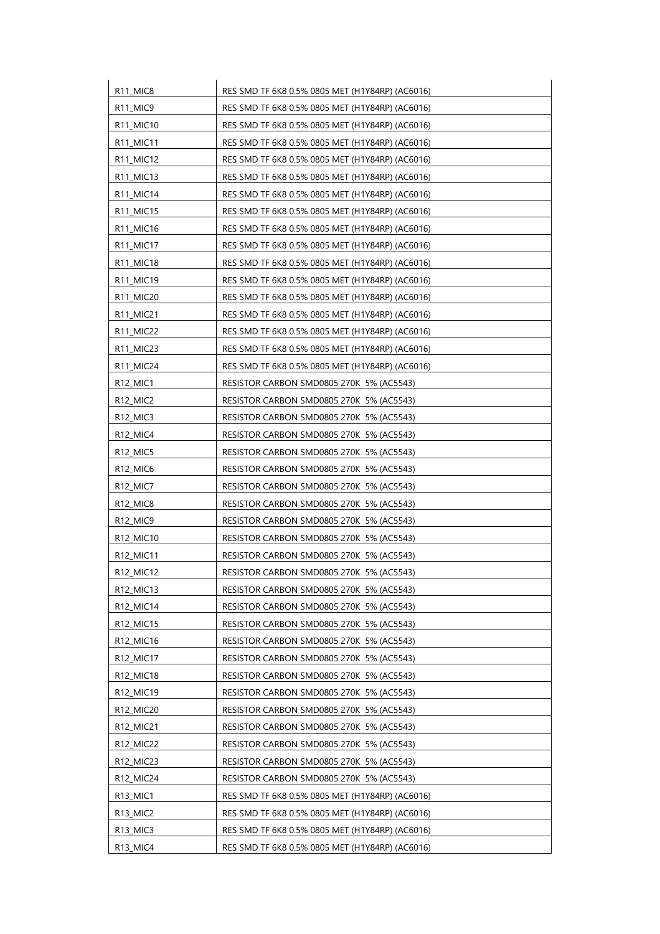| R11_MIC8                         | RES SMD TF 6K8 0.5% 0805 MET (H1Y84RP) (AC6016) |
|----------------------------------|-------------------------------------------------|
| R11_MIC9                         | RES SMD TF 6K8 0.5% 0805 MET (H1Y84RP) (AC6016) |
| R11_MIC10                        | RES SMD TF 6K8 0.5% 0805 MET (H1Y84RP) (AC6016) |
| R11_MIC11                        | RES SMD TF 6K8 0.5% 0805 MET (H1Y84RP) (AC6016) |
| R11_MIC12                        | RES SMD TF 6K8 0.5% 0805 MET (H1Y84RP) (AC6016) |
| R11_MIC13                        | RES SMD TF 6K8 0.5% 0805 MET (H1Y84RP) (AC6016) |
| R11_MIC14                        | RES SMD TF 6K8 0.5% 0805 MET (H1Y84RP) (AC6016) |
| R11_MIC15                        | RES SMD TF 6K8 0.5% 0805 MET (H1Y84RP) (AC6016) |
| R11_MIC16                        | RES SMD TF 6K8 0.5% 0805 MET (H1Y84RP) (AC6016) |
| R11_MIC17                        | RES SMD TF 6K8 0.5% 0805 MET (H1Y84RP) (AC6016) |
| R11_MIC18                        | RES SMD TF 6K8 0.5% 0805 MET (H1Y84RP) (AC6016) |
| R11_MIC19                        | RES SMD TF 6K8 0.5% 0805 MET (H1Y84RP) (AC6016) |
| R11_MIC20                        | RES SMD TF 6K8 0.5% 0805 MET (H1Y84RP) (AC6016) |
| R11_MIC21                        | RES SMD TF 6K8 0.5% 0805 MET (H1Y84RP) (AC6016) |
| R11_MIC22                        | RES SMD TF 6K8 0.5% 0805 MET (H1Y84RP) (AC6016) |
| R11_MIC23                        | RES SMD TF 6K8 0.5% 0805 MET (H1Y84RP) (AC6016) |
| R11_MIC24                        | RES SMD TF 6K8 0.5% 0805 MET (H1Y84RP) (AC6016) |
| R <sub>12</sub> MIC <sub>1</sub> | RESISTOR CARBON SMD0805 270K 5% (AC5543)        |
| R <sub>12</sub> MIC <sub>2</sub> | RESISTOR CARBON SMD0805 270K 5% (AC5543)        |
| R12_MIC3                         | RESISTOR CARBON SMD0805 270K 5% (AC5543)        |
| R <sub>12_MIC4</sub>             | RESISTOR CARBON SMD0805 270K 5% (AC5543)        |
| R <sub>12</sub> MIC <sub>5</sub> | RESISTOR CARBON SMD0805 270K 5% (AC5543)        |
| R <sub>12_MIC6</sub>             | RESISTOR CARBON SMD0805 270K 5% (AC5543)        |
| R <sub>12</sub> MIC <sub>7</sub> | RESISTOR CARBON SMD0805 270K 5% (AC5543)        |
| R12_MIC8                         | RESISTOR CARBON SMD0805 270K 5% (AC5543)        |
| R12_MIC9                         | RESISTOR CARBON SMD0805 270K 5% (AC5543)        |
| R12_MIC10                        | RESISTOR CARBON SMD0805 270K 5% (AC5543)        |
| R12_MIC11                        | RESISTOR CARBON SMD0805 270K 5% (AC5543)        |
| R12_MIC12                        | RESISTOR CARBON SMD0805 270K 5% (AC5543)        |
| R12_MIC13                        | RESISTOR CARBON SMD0805 270K 5% (AC5543)        |
| R12_MIC14                        | RESISTOR CARBON SMD0805 270K 5% (AC5543)        |
| R12_MIC15                        | RESISTOR CARBON SMD0805 270K 5% (AC5543)        |
| R12_MIC16                        | RESISTOR CARBON SMD0805 270K 5% (AC5543)        |
| R12_MIC17                        | RESISTOR CARBON SMD0805 270K 5% (AC5543)        |
| R12_MIC18                        | RESISTOR CARBON SMD0805 270K 5% (AC5543)        |
| R12_MIC19                        | RESISTOR CARBON SMD0805 270K 5% (AC5543)        |
| R12_MIC20                        | RESISTOR CARBON SMD0805 270K 5% (AC5543)        |
| R12_MIC21                        | RESISTOR CARBON SMD0805 270K 5% (AC5543)        |
| R12_MIC22                        | RESISTOR CARBON SMD0805 270K 5% (AC5543)        |
| R12_MIC23                        | RESISTOR CARBON SMD0805 270K 5% (AC5543)        |
| R12_MIC24                        | RESISTOR CARBON SMD0805 270K 5% (AC5543)        |
| R13_MIC1                         | RES SMD TF 6K8 0.5% 0805 MET (H1Y84RP) (AC6016) |
| R13_MIC2                         | RES SMD TF 6K8 0.5% 0805 MET (H1Y84RP) (AC6016) |
| R13_MIC3                         | RES SMD TF 6K8 0.5% 0805 MET (H1Y84RP) (AC6016) |
| R13_MIC4                         | RES SMD TF 6K8 0.5% 0805 MET (H1Y84RP) (AC6016) |
|                                  |                                                 |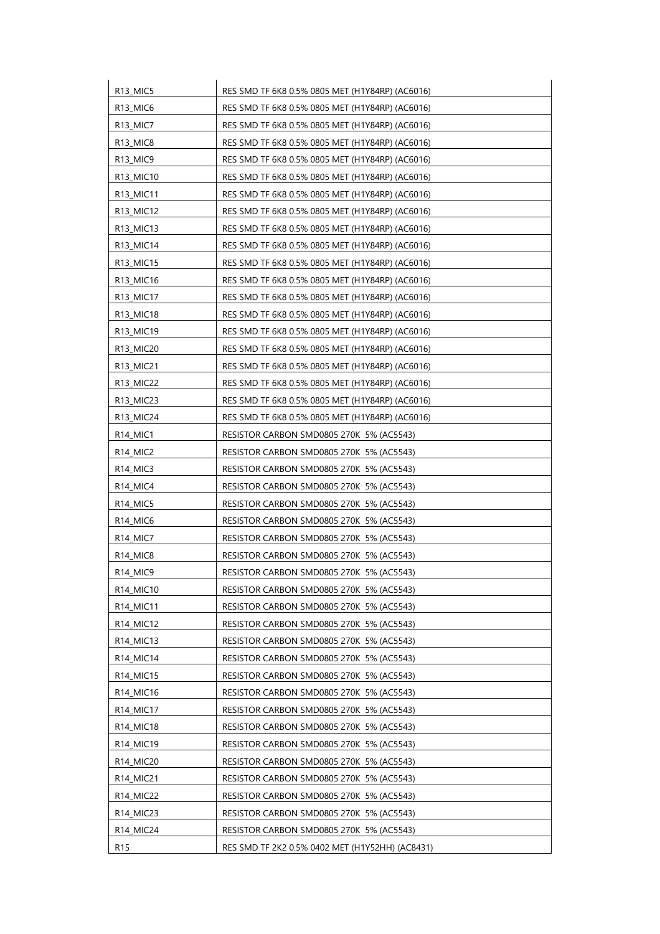| R13_MIC5                          | RES SMD TF 6K8 0.5% 0805 MET (H1Y84RP) (AC6016) |
|-----------------------------------|-------------------------------------------------|
| R13_MIC6                          | RES SMD TF 6K8 0.5% 0805 MET (H1Y84RP) (AC6016) |
| R13_MIC7                          | RES SMD TF 6K8 0.5% 0805 MET (H1Y84RP) (AC6016) |
| R13_MIC8                          | RES SMD TF 6K8 0.5% 0805 MET (H1Y84RP) (AC6016) |
| R <sub>13</sub> MIC <sub>9</sub>  | RES SMD TF 6K8 0.5% 0805 MET (H1Y84RP) (AC6016) |
| R13_MIC10                         | RES SMD TF 6K8 0.5% 0805 MET (H1Y84RP) (AC6016) |
| R13_MIC11                         | RES SMD TF 6K8 0.5% 0805 MET (H1Y84RP) (AC6016) |
| R13_MIC12                         | RES SMD TF 6K8 0.5% 0805 MET (H1Y84RP) (AC6016) |
| R13_MIC13                         | RES SMD TF 6K8 0.5% 0805 MET (H1Y84RP) (AC6016) |
| R13_MIC14                         | RES SMD TF 6K8 0.5% 0805 MET (H1Y84RP) (AC6016) |
| R13_MIC15                         | RES SMD TF 6K8 0.5% 0805 MET (H1Y84RP) (AC6016) |
| R13_MIC16                         | RES SMD TF 6K8 0.5% 0805 MET (H1Y84RP) (AC6016) |
| R13_MIC17                         | RES SMD TF 6K8 0.5% 0805 MET (H1Y84RP) (AC6016) |
| R13_MIC18                         | RES SMD TF 6K8 0.5% 0805 MET (H1Y84RP) (AC6016) |
| R13_MIC19                         | RES SMD TF 6K8 0.5% 0805 MET (H1Y84RP) (AC6016) |
| R13_MIC20                         | RES SMD TF 6K8 0.5% 0805 MET (H1Y84RP) (AC6016) |
| R13_MIC21                         | RES SMD TF 6K8 0.5% 0805 MET (H1Y84RP) (AC6016) |
| R13 MIC22                         | RES SMD TF 6K8 0.5% 0805 MET (H1Y84RP) (AC6016) |
| R13_MIC23                         | RES SMD TF 6K8 0.5% 0805 MET (H1Y84RP) (AC6016) |
| R13_MIC24                         | RES SMD TF 6K8 0.5% 0805 MET (H1Y84RP) (AC6016) |
| R <sub>14_MIC1</sub>              | RESISTOR CARBON SMD0805 270K 5% (AC5543)        |
| R <sub>14</sub> MIC <sub>2</sub>  | RESISTOR CARBON SMD0805 270K 5% (AC5543)        |
| R <sub>14</sub> _MIC <sub>3</sub> | RESISTOR CARBON SMD0805 270K 5% (AC5543)        |
| R <sub>14</sub> MIC <sub>4</sub>  | RESISTOR CARBON SMD0805 270K 5% (AC5543)        |
| R <sub>14</sub> _MIC5             | RESISTOR CARBON SMD0805 270K 5% (AC5543)        |
| R <sub>14</sub> _MIC <sub>6</sub> | RESISTOR CARBON SMD0805 270K 5% (AC5543)        |
| R <sub>14</sub> MIC <sub>7</sub>  | RESISTOR CARBON SMD0805 270K 5% (AC5543)        |
| R14_MIC8                          | RESISTOR CARBON SMD0805 270K 5% (AC5543)        |
| R <sub>14_MIC9</sub>              | RESISTOR CARBON SMD0805 270K 5% (AC5543)        |
| R14_MIC10                         | RESISTOR CARBON SMD0805 270K 5% (AC5543)        |
| R14_MIC11                         | RESISTOR CARBON SMD0805 270K 5% (AC5543)        |
| R14_MIC12                         | RESISTOR CARBON SMD0805 270K 5% (AC5543)        |
| R14_MIC13                         | RESISTOR CARBON SMD0805 270K 5% (AC5543)        |
| R14_MIC14                         | RESISTOR CARBON SMD0805 270K 5% (AC5543)        |
| R14_MIC15                         | RESISTOR CARBON SMD0805 270K 5% (AC5543)        |
| R14_MIC16                         | RESISTOR CARBON SMD0805 270K 5% (AC5543)        |
| R14_MIC17                         | RESISTOR CARBON SMD0805 270K 5% (AC5543)        |
| R14_MIC18                         | RESISTOR CARBON SMD0805 270K 5% (AC5543)        |
| R14_MIC19                         | RESISTOR CARBON SMD0805 270K 5% (AC5543)        |
| R14_MIC20                         | RESISTOR CARBON SMD0805 270K 5% (AC5543)        |
| R14_MIC21                         | RESISTOR CARBON SMD0805 270K 5% (AC5543)        |
| R14_MIC22                         | RESISTOR CARBON SMD0805 270K 5% (AC5543)        |
| R14_MIC23                         | RESISTOR CARBON SMD0805 270K 5% (AC5543)        |
| R14_MIC24                         | RESISTOR CARBON SMD0805 270K 5% (AC5543)        |
| R <sub>15</sub>                   | RES SMD TF 2K2 0.5% 0402 MET (H1Y52HH) (AC8431) |
|                                   |                                                 |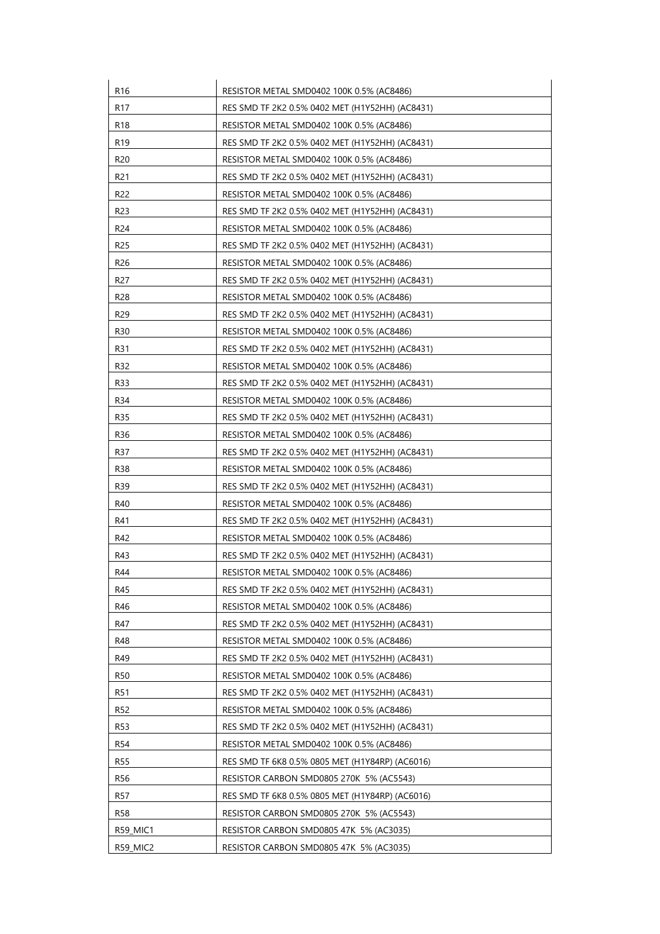| R <sub>16</sub> | RESISTOR METAL SMD0402 100K 0.5% (AC8486)       |
|-----------------|-------------------------------------------------|
| R <sub>17</sub> | RES SMD TF 2K2 0.5% 0402 MET (H1Y52HH) (AC8431) |
| R <sub>18</sub> | RESISTOR METAL SMD0402 100K 0.5% (AC8486)       |
| R <sub>19</sub> | RES SMD TF 2K2 0.5% 0402 MET (H1Y52HH) (AC8431) |
| R <sub>20</sub> | RESISTOR METAL SMD0402 100K 0.5% (AC8486)       |
| R <sub>21</sub> | RES SMD TF 2K2 0.5% 0402 MET (H1Y52HH) (AC8431) |
| R <sub>22</sub> | RESISTOR METAL SMD0402 100K 0.5% (AC8486)       |
| R <sub>23</sub> | RES SMD TF 2K2 0.5% 0402 MET (H1Y52HH) (AC8431) |
| R <sub>24</sub> | RESISTOR METAL SMD0402 100K 0.5% (AC8486)       |
| R25             | RES SMD TF 2K2 0.5% 0402 MET (H1Y52HH) (AC8431) |
| R <sub>26</sub> | RESISTOR METAL SMD0402 100K 0.5% (AC8486)       |
| R <sub>27</sub> | RES SMD TF 2K2 0.5% 0402 MET (H1Y52HH) (AC8431) |
| R <sub>28</sub> | RESISTOR METAL SMD0402 100K 0.5% (AC8486)       |
| R <sub>29</sub> | RES SMD TF 2K2 0.5% 0402 MET (H1Y52HH) (AC8431) |
| R30             | RESISTOR METAL SMD0402 100K 0.5% (AC8486)       |
| R31             | RES SMD TF 2K2 0.5% 0402 MET (H1Y52HH) (AC8431) |
| R32             | RESISTOR METAL SMD0402 100K 0.5% (AC8486)       |
| R33             | RES SMD TF 2K2 0.5% 0402 MET (H1Y52HH) (AC8431) |
| R34             | RESISTOR METAL SMD0402 100K 0.5% (AC8486)       |
| R35             | RES SMD TF 2K2 0.5% 0402 MET (H1Y52HH) (AC8431) |
| R36             | RESISTOR METAL SMD0402 100K 0.5% (AC8486)       |
| R37             | RES SMD TF 2K2 0.5% 0402 MET (H1Y52HH) (AC8431) |
| R38             | RESISTOR METAL SMD0402 100K 0.5% (AC8486)       |
| R39             | RES SMD TF 2K2 0.5% 0402 MET (H1Y52HH) (AC8431) |
| R40             | RESISTOR METAL SMD0402 100K 0.5% (AC8486)       |
| R41             | RES SMD TF 2K2 0.5% 0402 MET (H1Y52HH) (AC8431) |
| R42             | RESISTOR METAL SMD0402 100K 0.5% (AC8486)       |
| R43             | RES SMD TF 2K2 0.5% 0402 MET (H1Y52HH) (AC8431) |
| R44             | RESISTOR METAL SMD0402 100K 0.5% (AC8486)       |
| R45             | RES SMD TF 2K2 0.5% 0402 MET (H1Y52HH) (AC8431) |
| R46             | RESISTOR METAL SMD0402 100K 0.5% (AC8486)       |
| R47             | RES SMD TF 2K2 0.5% 0402 MET (H1Y52HH) (AC8431) |
| R48             | RESISTOR METAL SMD0402 100K 0.5% (AC8486)       |
| R49             | RES SMD TF 2K2 0.5% 0402 MET (H1Y52HH) (AC8431) |
| R50             | RESISTOR METAL SMD0402 100K 0.5% (AC8486)       |
| R51             | RES SMD TF 2K2 0.5% 0402 MET (H1Y52HH) (AC8431) |
| R <sub>52</sub> | RESISTOR METAL SMD0402 100K 0.5% (AC8486)       |
| <b>R53</b>      | RES SMD TF 2K2 0.5% 0402 MET (H1Y52HH) (AC8431) |
| R54             | RESISTOR METAL SMD0402 100K 0.5% (AC8486)       |
| R55             | RES SMD TF 6K8 0.5% 0805 MET (H1Y84RP) (AC6016) |
| <b>R56</b>      | RESISTOR CARBON SMD0805 270K 5% (AC5543)        |
| R57             | RES SMD TF 6K8 0.5% 0805 MET (H1Y84RP) (AC6016) |
| <b>R58</b>      | RESISTOR CARBON SMD0805 270K 5% (AC5543)        |
| R59_MIC1        | RESISTOR CARBON SMD0805 47K 5% (AC3035)         |
|                 |                                                 |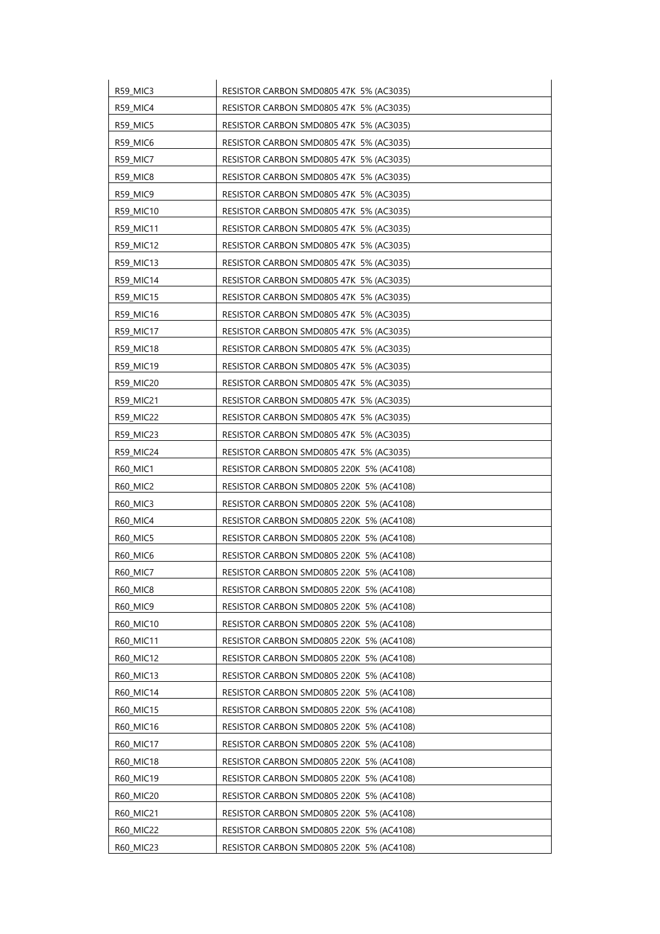| R59_MIC3         | RESISTOR CARBON SMD0805 47K 5% (AC3035)  |
|------------------|------------------------------------------|
| R59_MIC4         | RESISTOR CARBON SMD0805 47K 5% (AC3035)  |
| R59_MIC5         | RESISTOR CARBON SMD0805 47K 5% (AC3035)  |
| R59 MIC6         | RESISTOR CARBON SMD0805 47K 5% (AC3035)  |
| <b>R59_MIC7</b>  | RESISTOR CARBON SMD0805 47K 5% (AC3035)  |
| <b>R59_MIC8</b>  | RESISTOR CARBON SMD0805 47K 5% (AC3035)  |
| R59_MIC9         | RESISTOR CARBON SMD0805 47K 5% (AC3035)  |
| R59_MIC10        | RESISTOR CARBON SMD0805 47K 5% (AC3035)  |
| R59_MIC11        | RESISTOR CARBON SMD0805 47K 5% (AC3035)  |
| R59_MIC12        | RESISTOR CARBON SMD0805 47K 5% (AC3035)  |
| R59_MIC13        | RESISTOR CARBON SMD0805 47K 5% (AC3035)  |
| <b>R59 MIC14</b> | RESISTOR CARBON SMD0805 47K 5% (AC3035)  |
| R59_MIC15        | RESISTOR CARBON SMD0805 47K 5% (AC3035)  |
| R59_MIC16        | RESISTOR CARBON SMD0805 47K 5% (AC3035)  |
| R59_MIC17        | RESISTOR CARBON SMD0805 47K 5% (AC3035)  |
| R59_MIC18        | RESISTOR CARBON SMD0805 47K 5% (AC3035)  |
| <b>R59 MIC19</b> | RESISTOR CARBON SMD0805 47K 5% (AC3035)  |
| R59_MIC20        | RESISTOR CARBON SMD0805 47K 5% (AC3035)  |
| R59_MIC21        | RESISTOR CARBON SMD0805 47K 5% (AC3035)  |
| R59_MIC22        | RESISTOR CARBON SMD0805 47K 5% (AC3035)  |
| R59_MIC23        | RESISTOR CARBON SMD0805 47K 5% (AC3035)  |
| R59_MIC24        | RESISTOR CARBON SMD0805 47K 5% (AC3035)  |
| R60_MIC1         | RESISTOR CARBON SMD0805 220K 5% (AC4108) |
| R60_MIC2         | RESISTOR CARBON SMD0805 220K 5% (AC4108) |
| <b>R60 MIC3</b>  | RESISTOR CARBON SMD0805 220K 5% (AC4108) |
| <b>R60 MIC4</b>  | RESISTOR CARBON SMD0805 220K 5% (AC4108) |
| <b>R60_MIC5</b>  | RESISTOR CARBON SMD0805 220K 5% (AC4108) |
| R60_MIC6         | RESISTOR CARBON SMD0805 220K 5% (AC4108) |
| R60_MIC7         | RESISTOR CARBON SMD0805 220K 5% (AC4108) |
| R60 MIC8         | RESISTOR CARBON SMD0805 220K 5% (AC4108) |
| R60_MIC9         | RESISTOR CARBON SMD0805 220K 5% (AC4108) |
| R60_MIC10        | RESISTOR CARBON SMD0805 220K 5% (AC4108) |
| R60_MIC11        | RESISTOR CARBON SMD0805 220K 5% (AC4108) |
| R60_MIC12        | RESISTOR CARBON SMD0805 220K 5% (AC4108) |
| R60_MIC13        | RESISTOR CARBON SMD0805 220K 5% (AC4108) |
| R60_MIC14        | RESISTOR CARBON SMD0805 220K 5% (AC4108) |
| R60_MIC15        | RESISTOR CARBON SMD0805 220K 5% (AC4108) |
| R60_MIC16        | RESISTOR CARBON SMD0805 220K 5% (AC4108) |
| R60_MIC17        | RESISTOR CARBON SMD0805 220K 5% (AC4108) |
| R60_MIC18        | RESISTOR CARBON SMD0805 220K 5% (AC4108) |
| R60_MIC19        | RESISTOR CARBON SMD0805 220K 5% (AC4108) |
| R60_MIC20        | RESISTOR CARBON SMD0805 220K 5% (AC4108) |
| R60_MIC21        | RESISTOR CARBON SMD0805 220K 5% (AC4108) |
| R60_MIC22        | RESISTOR CARBON SMD0805 220K 5% (AC4108) |
| R60_MIC23        | RESISTOR CARBON SMD0805 220K 5% (AC4108) |
|                  |                                          |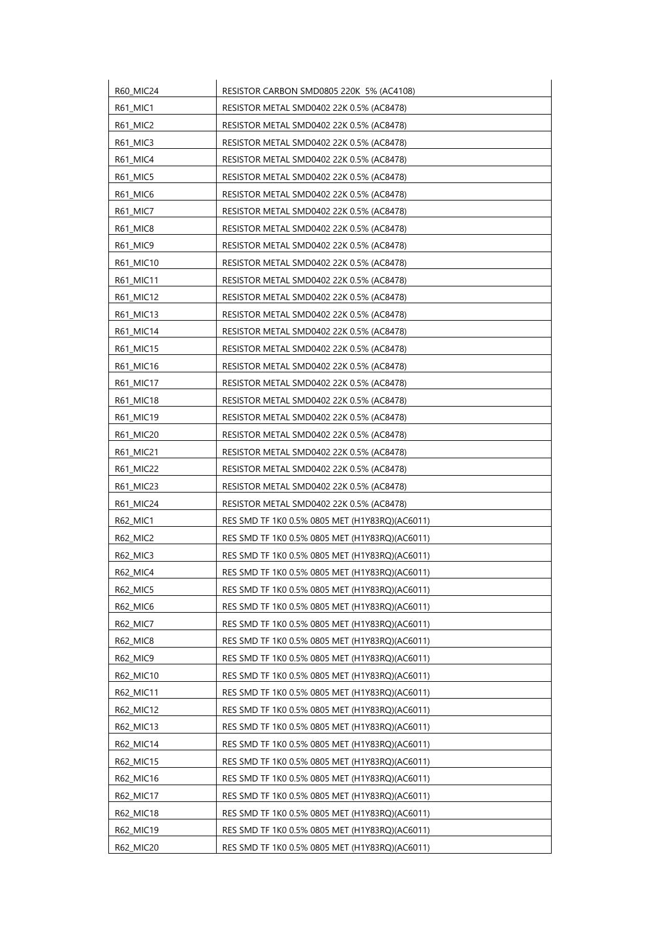| R60_MIC24       | RESISTOR CARBON SMD0805 220K 5% (AC4108)       |
|-----------------|------------------------------------------------|
| R61_MIC1        | RESISTOR METAL SMD0402 22K 0.5% (AC8478)       |
| R61_MIC2        | RESISTOR METAL SMD0402 22K 0.5% (AC8478)       |
| R61_MIC3        | RESISTOR METAL SMD0402 22K 0.5% (AC8478)       |
| R61_MIC4        | RESISTOR METAL SMD0402 22K 0.5% (AC8478)       |
| R61_MIC5        | RESISTOR METAL SMD0402 22K 0.5% (AC8478)       |
| <b>R61 MIC6</b> | RESISTOR METAL SMD0402 22K 0.5% (AC8478)       |
| R61_MIC7        | RESISTOR METAL SMD0402 22K 0.5% (AC8478)       |
| R61_MIC8        | RESISTOR METAL SMD0402 22K 0.5% (AC8478)       |
| R61_MIC9        | RESISTOR METAL SMD0402 22K 0.5% (AC8478)       |
| R61_MIC10       | RESISTOR METAL SMD0402 22K 0.5% (AC8478)       |
| R61_MIC11       | RESISTOR METAL SMD0402 22K 0.5% (AC8478)       |
| R61_MIC12       | RESISTOR METAL SMD0402 22K 0.5% (AC8478)       |
| R61_MIC13       | RESISTOR METAL SMD0402 22K 0.5% (AC8478)       |
| R61_MIC14       | RESISTOR METAL SMD0402 22K 0.5% (AC8478)       |
| R61_MIC15       | RESISTOR METAL SMD0402 22K 0.5% (AC8478)       |
| R61 MIC16       | RESISTOR METAL SMD0402 22K 0.5% (AC8478)       |
| R61_MIC17       | RESISTOR METAL SMD0402 22K 0.5% (AC8478)       |
| R61_MIC18       | RESISTOR METAL SMD0402 22K 0.5% (AC8478)       |
| R61_MIC19       | RESISTOR METAL SMD0402 22K 0.5% (AC8478)       |
| R61_MIC20       | RESISTOR METAL SMD0402 22K 0.5% (AC8478)       |
| R61_MIC21       | RESISTOR METAL SMD0402 22K 0.5% (AC8478)       |
| R61_MIC22       | RESISTOR METAL SMD0402 22K 0.5% (AC8478)       |
| R61_MIC23       | RESISTOR METAL SMD0402 22K 0.5% (AC8478)       |
| R61_MIC24       | RESISTOR METAL SMD0402 22K 0.5% (AC8478)       |
| R62_MIC1        | RES SMD TF 1K0 0.5% 0805 MET (H1Y83RQ)(AC6011) |
| <b>R62 MIC2</b> | RES SMD TF 1K0 0.5% 0805 MET (H1Y83RQ)(AC6011) |
| R62_MIC3        | RES SMD TF 1K0 0.5% 0805 MET (H1Y83RQ)(AC6011) |
| R62_MIC4        | RES SMD TF 1K0 0.5% 0805 MET (H1Y83RQ)(AC6011) |
| R62 MIC5        | RES SMD TF 1K0 0.5% 0805 MET (H1Y83RQ)(AC6011) |
| R62_MIC6        | RES SMD TF 1K0 0.5% 0805 MET (H1Y83RQ)(AC6011) |
| R62_MIC7        | RES SMD TF 1K0 0.5% 0805 MET (H1Y83RQ)(AC6011) |
| R62_MIC8        | RES SMD TF 1K0 0.5% 0805 MET (H1Y83RQ)(AC6011) |
| <b>R62_MIC9</b> | RES SMD TF 1K0 0.5% 0805 MET (H1Y83RQ)(AC6011) |
| R62_MIC10       | RES SMD TF 1K0 0.5% 0805 MET (H1Y83RQ)(AC6011) |
| R62 MIC11       | RES SMD TF 1K0 0.5% 0805 MET (H1Y83RQ)(AC6011) |
| R62_MIC12       | RES SMD TF 1K0 0.5% 0805 MET (H1Y83RQ)(AC6011) |
| R62_MIC13       | RES SMD TF 1K0 0.5% 0805 MET (H1Y83RQ)(AC6011) |
| R62_MIC14       | RES SMD TF 1K0 0.5% 0805 MET (H1Y83RQ)(AC6011) |
| R62_MIC15       | RES SMD TF 1K0 0.5% 0805 MET (H1Y83RQ)(AC6011) |
| R62_MIC16       | RES SMD TF 1K0 0.5% 0805 MET (H1Y83RQ)(AC6011) |
| R62_MIC17       | RES SMD TF 1K0 0.5% 0805 MET (H1Y83RQ)(AC6011) |
| R62_MIC18       | RES SMD TF 1K0 0.5% 0805 MET (H1Y83RQ)(AC6011) |
| R62_MIC19       | RES SMD TF 1K0 0.5% 0805 MET (H1Y83RQ)(AC6011) |
| R62_MIC20       | RES SMD TF 1K0 0.5% 0805 MET (H1Y83RQ)(AC6011) |
|                 |                                                |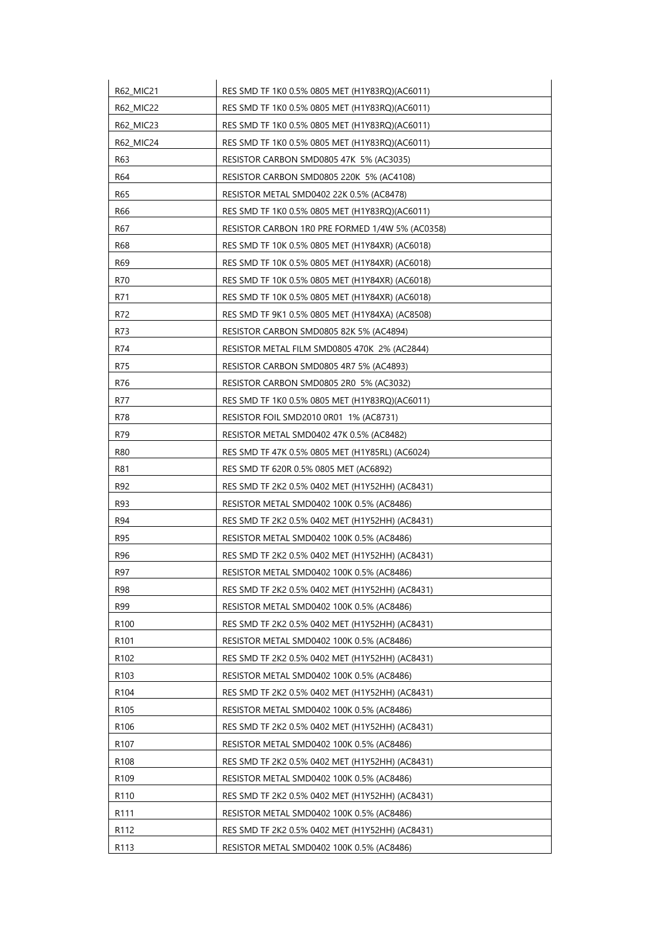| <b>R62 MIC21</b> | RES SMD TF 1K0 0.5% 0805 MET (H1Y83RQ)(AC6011)  |
|------------------|-------------------------------------------------|
| R62_MIC22        | RES SMD TF 1K0 0.5% 0805 MET (H1Y83RQ)(AC6011)  |
| R62_MIC23        | RES SMD TF 1K0 0.5% 0805 MET (H1Y83RQ)(AC6011)  |
| R62_MIC24        | RES SMD TF 1K0 0.5% 0805 MET (H1Y83RQ)(AC6011)  |
| R63              | RESISTOR CARBON SMD0805 47K 5% (AC3035)         |
| R64              | RESISTOR CARBON SMD0805 220K 5% (AC4108)        |
| R65              | RESISTOR METAL SMD0402 22K 0.5% (AC8478)        |
| R66              | RES SMD TF 1K0 0.5% 0805 MET (H1Y83RQ)(AC6011)  |
| R67              | RESISTOR CARBON 1R0 PRE FORMED 1/4W 5% (AC0358) |
| R68              | RES SMD TF 10K 0.5% 0805 MET (H1Y84XR) (AC6018) |
| R <sub>69</sub>  | RES SMD TF 10K 0.5% 0805 MET (H1Y84XR) (AC6018) |
| R70              | RES SMD TF 10K 0.5% 0805 MET (H1Y84XR) (AC6018) |
| R71              | RES SMD TF 10K 0.5% 0805 MET (H1Y84XR) (AC6018) |
| R72              | RES SMD TF 9K1 0.5% 0805 MET (H1Y84XA) (AC8508) |
| R73              | RESISTOR CARBON SMD0805 82K 5% (AC4894)         |
| R74              | RESISTOR METAL FILM SMD0805 470K 2% (AC2844)    |
| R75              | RESISTOR CARBON SMD0805 4R7 5% (AC4893)         |
| R76              | RESISTOR CARBON SMD0805 2R0 5% (AC3032)         |
| R77              | RES SMD TF 1K0 0.5% 0805 MET (H1Y83RQ)(AC6011)  |
| R78              | RESISTOR FOIL SMD2010 0R01 1% (AC8731)          |
| R79              | RESISTOR METAL SMD0402 47K 0.5% (AC8482)        |
| R80              | RES SMD TF 47K 0.5% 0805 MET (H1Y85RL) (AC6024) |
| R81              | RES SMD TF 620R 0.5% 0805 MET (AC6892)          |
| R92              | RES SMD TF 2K2 0.5% 0402 MET (H1Y52HH) (AC8431) |
| R93              | RESISTOR METAL SMD0402 100K 0.5% (AC8486)       |
| R94              | RES SMD TF 2K2 0.5% 0402 MET (H1Y52HH) (AC8431) |
| R95              | RESISTOR METAL SMD0402 100K 0.5% (AC8486)       |
| R96              | RES SMD TF 2K2 0.5% 0402 MET (H1Y52HH) (AC8431) |
| R97              | RESISTOR METAL SMD0402 100K 0.5% (AC8486)       |
| R98              | RES SMD TF 2K2 0.5% 0402 MET (H1Y52HH) (AC8431) |
| R99              | RESISTOR METAL SMD0402 100K 0.5% (AC8486)       |
| R <sub>100</sub> | RES SMD TF 2K2 0.5% 0402 MET (H1Y52HH) (AC8431) |
| R <sub>101</sub> | RESISTOR METAL SMD0402 100K 0.5% (AC8486)       |
| R <sub>102</sub> | RES SMD TF 2K2 0.5% 0402 MET (H1Y52HH) (AC8431) |
| R <sub>103</sub> | RESISTOR METAL SMD0402 100K 0.5% (AC8486)       |
| R <sub>104</sub> | RES SMD TF 2K2 0.5% 0402 MET (H1Y52HH) (AC8431) |
| R <sub>105</sub> | RESISTOR METAL SMD0402 100K 0.5% (AC8486)       |
| R <sub>106</sub> | RES SMD TF 2K2 0.5% 0402 MET (H1Y52HH) (AC8431) |
| R <sub>107</sub> | RESISTOR METAL SMD0402 100K 0.5% (AC8486)       |
| R <sub>108</sub> | RES SMD TF 2K2 0.5% 0402 MET (H1Y52HH) (AC8431) |
| R <sub>109</sub> | RESISTOR METAL SMD0402 100K 0.5% (AC8486)       |
| R <sub>110</sub> | RES SMD TF 2K2 0.5% 0402 MET (H1Y52HH) (AC8431) |
| R <sub>111</sub> | RESISTOR METAL SMD0402 100K 0.5% (AC8486)       |
| R <sub>112</sub> | RES SMD TF 2K2 0.5% 0402 MET (H1Y52HH) (AC8431) |
| R113             | RESISTOR METAL SMD0402 100K 0.5% (AC8486)       |
|                  |                                                 |